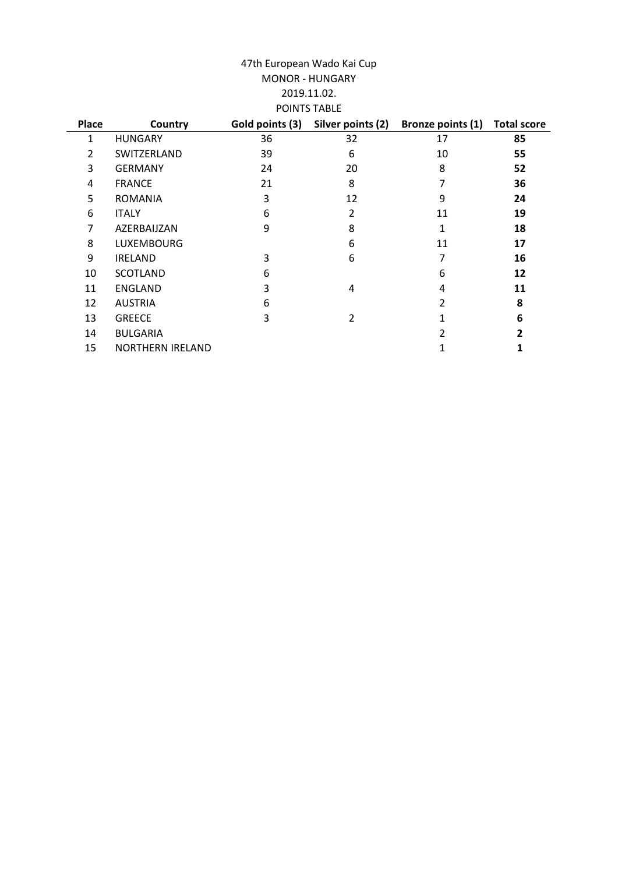## 47th European Wado Kai Cup 2019.11.02. POINTS TABLE MONOR - HUNGARY

| Place | Country                 | Gold points (3) | Silver points (2) | Bronze points (1) | <b>Total score</b> |
|-------|-------------------------|-----------------|-------------------|-------------------|--------------------|
| 1     | <b>HUNGARY</b>          | 36              | 32                | 17                | 85                 |
| 2     | SWITZERLAND             | 39              | 6                 | 10                | 55                 |
| 3     | <b>GERMANY</b>          | 24              | 20                | 8                 | 52                 |
| 4     | <b>FRANCE</b>           | 21              | 8                 | 7                 | 36                 |
| 5     | <b>ROMANIA</b>          | 3               | 12                | 9                 | 24                 |
| 6     | <b>ITALY</b>            | 6               | 2                 | 11                | 19                 |
| 7     | AZERBAIJZAN             | 9               | 8                 | 1                 | 18                 |
| 8     | <b>LUXEMBOURG</b>       |                 | 6                 | 11                | 17                 |
| 9     | <b>IRELAND</b>          | 3               | 6                 | 7                 | 16                 |
| 10    | <b>SCOTLAND</b>         | 6               |                   | 6                 | 12                 |
| 11    | <b>ENGLAND</b>          | 3               | 4                 | 4                 | 11                 |
| 12    | <b>AUSTRIA</b>          | 6               |                   | 2                 | 8                  |
| 13    | <b>GREECE</b>           | 3               | 2                 | 1                 | 6                  |
| 14    | <b>BULGARIA</b>         |                 |                   | $\overline{2}$    | 2                  |
| 15    | <b>NORTHERN IRELAND</b> |                 |                   |                   | 1                  |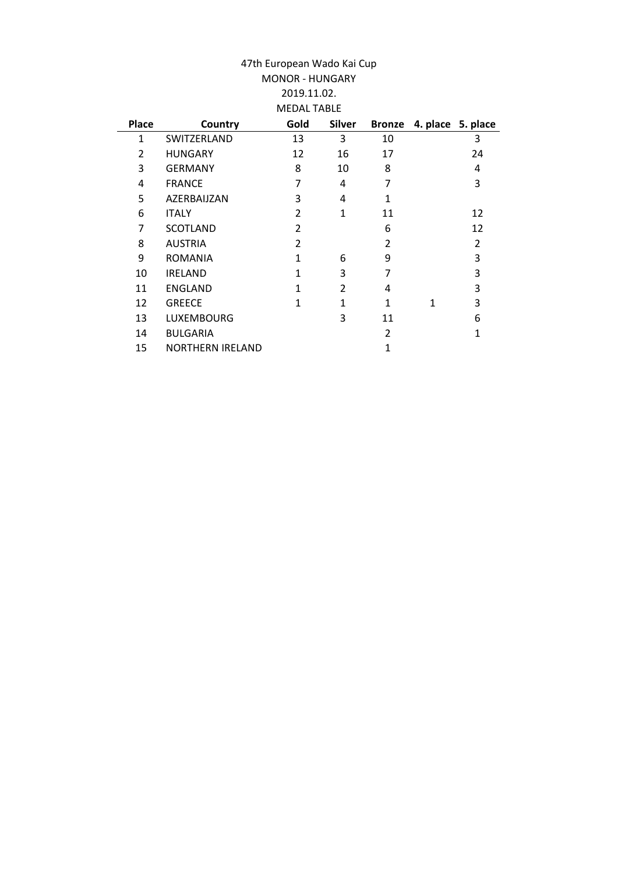| 47th European Wado Kai Cup<br><b>MONOR - HUNGARY</b><br>2019.11.02. |                         |                    |                |                |   |                   |
|---------------------------------------------------------------------|-------------------------|--------------------|----------------|----------------|---|-------------------|
|                                                                     |                         | <b>MEDAL TABLE</b> |                |                |   |                   |
| <b>Place</b>                                                        |                         | Gold               | <b>Silver</b>  | <b>Bronze</b>  |   |                   |
|                                                                     | Country                 |                    |                |                |   | 4. place 5. place |
| $\mathbf{1}$                                                        | SWITZERLAND             | 13                 | 3              | 10             |   | 3                 |
| 2                                                                   | <b>HUNGARY</b>          | 12                 | 16             | 17             |   | 24                |
| 3                                                                   | <b>GERMANY</b>          | 8                  | 10             | 8              |   | 4                 |
| 4                                                                   | <b>FRANCE</b>           | 7                  | 4              | 7              |   | 3                 |
| 5                                                                   | AZERBAIJZAN             | 3                  | 4              | 1              |   |                   |
| 6                                                                   | <b>ITALY</b>            | $\overline{2}$     | 1              | 11             |   | 12                |
| 7                                                                   | <b>SCOTLAND</b>         | 2                  |                | 6              |   | 12                |
| 8                                                                   | <b>AUSTRIA</b>          | $\overline{2}$     |                | $\overline{2}$ |   | $\overline{2}$    |
| 9                                                                   | <b>ROMANIA</b>          | $\mathbf{1}$       | 6              | 9              |   | 3                 |
| 10                                                                  | <b>IRELAND</b>          | 1                  | 3              | 7              |   | 3                 |
| 11                                                                  | <b>ENGLAND</b>          | 1                  | $\overline{2}$ | 4              |   | 3                 |
| 12                                                                  | <b>GREECE</b>           | 1                  | 1              | 1              | 1 | 3                 |
| 13                                                                  | <b>LUXEMBOURG</b>       |                    | 3              | 11             |   | 6                 |
| 14                                                                  | <b>BULGARIA</b>         |                    |                | $\overline{2}$ |   | 1                 |
| 15                                                                  | <b>NORTHERN IRELAND</b> |                    |                | 1              |   |                   |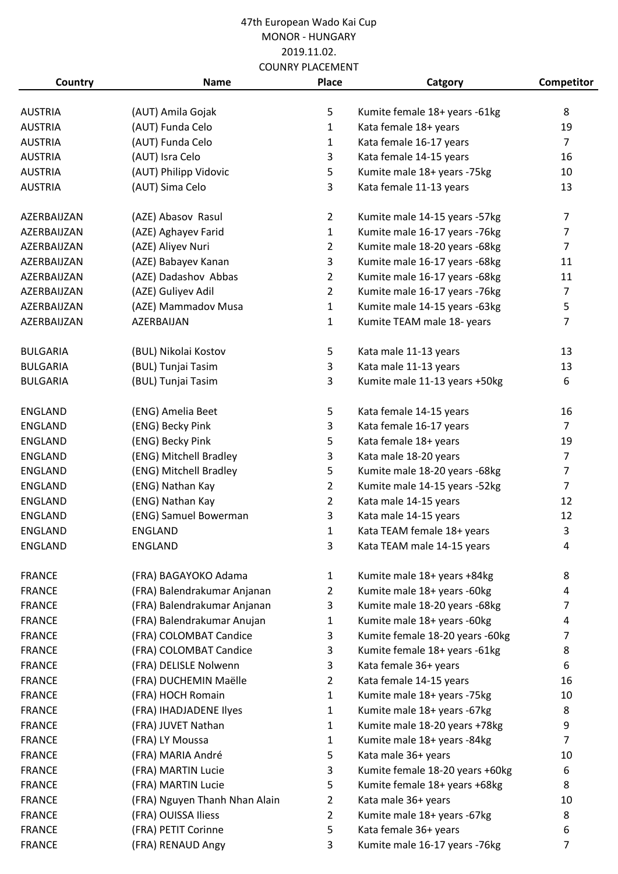| Country         | <b>Name</b>                   | COUNNI PLACEIVIENI<br>Place | Catgory                         | Competitor     |
|-----------------|-------------------------------|-----------------------------|---------------------------------|----------------|
|                 |                               |                             |                                 |                |
| <b>AUSTRIA</b>  | (AUT) Amila Gojak             | 5                           | Kumite female 18+ years -61kg   | 8              |
| <b>AUSTRIA</b>  | (AUT) Funda Celo              | $\mathbf{1}$                | Kata female 18+ years           | 19             |
| <b>AUSTRIA</b>  | (AUT) Funda Celo              | $\mathbf{1}$                | Kata female 16-17 years         | $\overline{7}$ |
| <b>AUSTRIA</b>  | (AUT) Isra Celo               | 3                           | Kata female 14-15 years         | 16             |
| <b>AUSTRIA</b>  | (AUT) Philipp Vidovic         | 5                           | Kumite male 18+ years -75kg     | 10             |
| <b>AUSTRIA</b>  | (AUT) Sima Celo               | 3                           | Kata female 11-13 years         | 13             |
| AZERBAIJZAN     | (AZE) Abasov Rasul            | $\overline{2}$              | Kumite male 14-15 years -57kg   | $\overline{7}$ |
| AZERBAIJZAN     | (AZE) Aghayev Farid           | $\mathbf{1}$                | Kumite male 16-17 years -76kg   | $\overline{7}$ |
| AZERBAIJZAN     | (AZE) Aliyev Nuri             | $\overline{2}$              | Kumite male 18-20 years -68kg   | $\overline{7}$ |
| AZERBAIJZAN     | (AZE) Babayev Kanan           | 3                           | Kumite male 16-17 years -68kg   | 11             |
| AZERBAIJZAN     | (AZE) Dadashov Abbas          | $\overline{2}$              | Kumite male 16-17 years -68kg   | 11             |
| AZERBAIJZAN     | (AZE) Guliyev Adil            | $\overline{2}$              | Kumite male 16-17 years -76kg   | $\overline{7}$ |
| AZERBAIJZAN     | (AZE) Mammadov Musa           | $\mathbf{1}$                | Kumite male 14-15 years -63kg   | 5              |
| AZERBAIJZAN     | AZERBAIJAN                    | $\mathbf{1}$                | Kumite TEAM male 18- years      | 7              |
| <b>BULGARIA</b> | (BUL) Nikolai Kostov          | 5                           | Kata male 11-13 years           | 13             |
| <b>BULGARIA</b> | (BUL) Tunjai Tasim            | 3                           | Kata male 11-13 years           | 13             |
| <b>BULGARIA</b> | (BUL) Tunjai Tasim            | 3                           | Kumite male 11-13 years +50kg   | 6              |
| <b>ENGLAND</b>  | (ENG) Amelia Beet             | 5                           | Kata female 14-15 years         | 16             |
| ENGLAND         | (ENG) Becky Pink              | 3                           | Kata female 16-17 years         | $\overline{7}$ |
| ENGLAND         | (ENG) Becky Pink              | 5                           | Kata female 18+ years           | 19             |
| <b>ENGLAND</b>  | (ENG) Mitchell Bradley        | 3                           | Kata male 18-20 years           | $\overline{7}$ |
| ENGLAND         | (ENG) Mitchell Bradley        | 5                           | Kumite male 18-20 years -68kg   | $\overline{7}$ |
| ENGLAND         | (ENG) Nathan Kay              | $\overline{2}$              | Kumite male 14-15 years -52kg   | $\overline{7}$ |
| ENGLAND         | (ENG) Nathan Kay              | $\overline{2}$              | Kata male 14-15 years           | 12             |
| <b>ENGLAND</b>  | (ENG) Samuel Bowerman         | 3                           | Kata male 14-15 years           | 12             |
| <b>ENGLAND</b>  | ENGLAND                       | 1                           | Kata TEAM female 18+ years      | 3              |
| ENGLAND         | <b>ENGLAND</b>                | 3                           | Kata TEAM male 14-15 years      | 4              |
| <b>FRANCE</b>   | (FRA) BAGAYOKO Adama          | $\mathbf{1}$                | Kumite male 18+ years +84kg     | 8              |
| <b>FRANCE</b>   | (FRA) Balendrakumar Anjanan   | 2                           | Kumite male 18+ years -60kg     | 4              |
| <b>FRANCE</b>   | (FRA) Balendrakumar Anjanan   | 3                           | Kumite male 18-20 years -68kg   | 7              |
| <b>FRANCE</b>   | (FRA) Balendrakumar Anujan    | 1                           | Kumite male 18+ years -60kg     | 4              |
| <b>FRANCE</b>   | (FRA) COLOMBAT Candice        | 3                           | Kumite female 18-20 years -60kg | 7              |
| <b>FRANCE</b>   | (FRA) COLOMBAT Candice        | 3                           | Kumite female 18+ years -61kg   | 8              |
| <b>FRANCE</b>   | (FRA) DELISLE Nolwenn         | 3                           | Kata female 36+ years           | 6              |
| <b>FRANCE</b>   | (FRA) DUCHEMIN Maëlle         | 2                           | Kata female 14-15 years         | 16             |
| <b>FRANCE</b>   | (FRA) HOCH Romain             | 1                           | Kumite male 18+ years -75kg     | 10             |
| <b>FRANCE</b>   | (FRA) IHADJADENE Ilyes        | 1                           | Kumite male 18+ years -67kg     | 8              |
| <b>FRANCE</b>   | (FRA) JUVET Nathan            | 1                           | Kumite male 18-20 years +78kg   | 9              |
| <b>FRANCE</b>   | (FRA) LY Moussa               | 1                           | Kumite male 18+ years -84kg     | $\overline{7}$ |
| <b>FRANCE</b>   | (FRA) MARIA André             | 5                           | Kata male 36+ years             | 10             |
| <b>FRANCE</b>   | (FRA) MARTIN Lucie            | 3                           | Kumite female 18-20 years +60kg | 6              |
| <b>FRANCE</b>   | (FRA) MARTIN Lucie            | 5                           | Kumite female 18+ years +68kg   | 8              |
| <b>FRANCE</b>   | (FRA) Nguyen Thanh Nhan Alain | 2                           | Kata male 36+ years             | 10             |
| <b>FRANCE</b>   | (FRA) OUISSA Iliess           | $\overline{2}$              | Kumite male 18+ years -67kg     | 8              |
| <b>FRANCE</b>   | (FRA) PETIT Corinne           | 5                           | Kata female 36+ years           | 6              |
| <b>FRANCE</b>   | (FRA) RENAUD Angy             | 3                           | Kumite male 16-17 years -76kg   | $\overline{7}$ |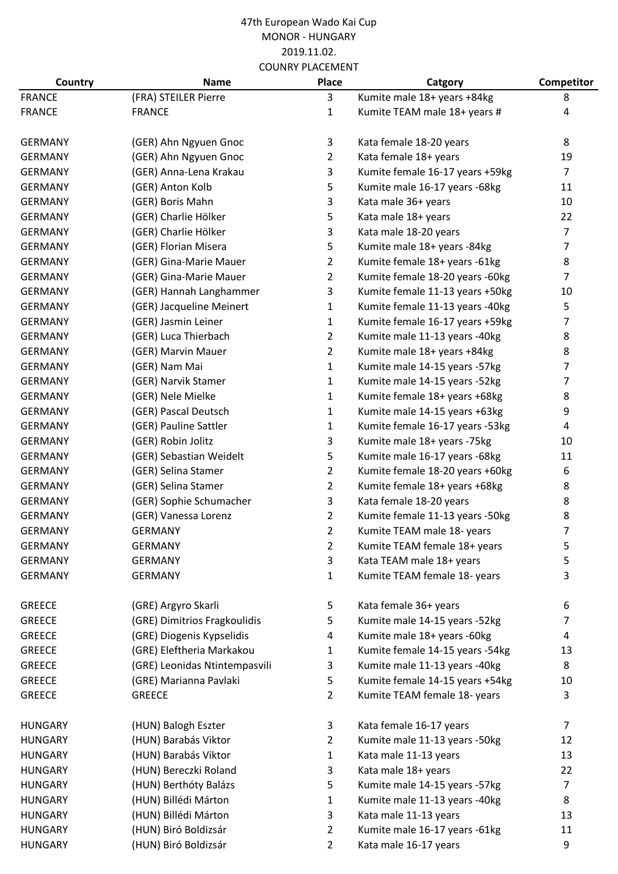| Country        | <b>Name</b>                   | Place          | Catgory                         | <b>Competitor</b> |
|----------------|-------------------------------|----------------|---------------------------------|-------------------|
| <b>FRANCE</b>  | (FRA) STEILER Pierre          | 3              | Kumite male 18+ years +84kg     | 8                 |
| <b>FRANCE</b>  | <b>FRANCE</b>                 | $\mathbf{1}$   | Kumite TEAM male 18+ years #    | 4                 |
| <b>GERMANY</b> | (GER) Ahn Ngyuen Gnoc         | 3              | Kata female 18-20 years         | 8                 |
|                |                               | $\overline{2}$ |                                 |                   |
| <b>GERMANY</b> | (GER) Ahn Ngyuen Gnoc         |                | Kata female 18+ years           | 19                |
| <b>GERMANY</b> | (GER) Anna-Lena Krakau        | 3              | Kumite female 16-17 years +59kg | $\overline{7}$    |
| <b>GERMANY</b> | (GER) Anton Kolb              | 5              | Kumite male 16-17 years -68kg   | 11                |
| <b>GERMANY</b> | (GER) Boris Mahn              | 3              | Kata male 36+ years             | 10                |
| <b>GERMANY</b> | (GER) Charlie Hölker          | 5              | Kata male 18+ years             | 22                |
| <b>GERMANY</b> | (GER) Charlie Hölker          | 3              | Kata male 18-20 years           | $\overline{7}$    |
| <b>GERMANY</b> | (GER) Florian Misera          | 5              | Kumite male 18+ years -84kg     | $\overline{7}$    |
| <b>GERMANY</b> | (GER) Gina-Marie Mauer        | $\overline{2}$ | Kumite female 18+ years -61kg   | 8                 |
| <b>GERMANY</b> | (GER) Gina-Marie Mauer        | $\overline{2}$ | Kumite female 18-20 years -60kg | $\overline{7}$    |
| <b>GERMANY</b> | (GER) Hannah Langhammer       | 3              | Kumite female 11-13 years +50kg | 10                |
| <b>GERMANY</b> | (GER) Jacqueline Meinert      | $\mathbf{1}$   | Kumite female 11-13 years -40kg | 5                 |
| <b>GERMANY</b> | (GER) Jasmin Leiner           | $\mathbf{1}$   | Kumite female 16-17 years +59kg | 7                 |
| <b>GERMANY</b> | (GER) Luca Thierbach          | $\overline{2}$ | Kumite male 11-13 years -40kg   | 8                 |
| <b>GERMANY</b> | (GER) Marvin Mauer            | $\overline{2}$ | Kumite male 18+ years +84kg     | 8                 |
| <b>GERMANY</b> | (GER) Nam Mai                 | $\mathbf{1}$   | Kumite male 14-15 years -57kg   | 7                 |
| <b>GERMANY</b> | (GER) Narvik Stamer           | $\mathbf{1}$   | Kumite male 14-15 years -52kg   | 7                 |
| <b>GERMANY</b> | (GER) Nele Mielke             | 1              | Kumite female 18+ years +68kg   | 8                 |
| <b>GERMANY</b> | (GER) Pascal Deutsch          | $\mathbf{1}$   | Kumite male 14-15 years +63kg   | 9                 |
| <b>GERMANY</b> | (GER) Pauline Sattler         | $\mathbf{1}$   | Kumite female 16-17 years -53kg | 4                 |
| <b>GERMANY</b> | (GER) Robin Jolitz            | 3              | Kumite male 18+ years -75kg     | 10                |
| <b>GERMANY</b> | (GER) Sebastian Weidelt       | 5              | Kumite male 16-17 years -68kg   | 11                |
| <b>GERMANY</b> | (GER) Selina Stamer           | $\overline{2}$ | Kumite female 18-20 years +60kg | 6                 |
| <b>GERMANY</b> | (GER) Selina Stamer           | $\overline{2}$ | Kumite female 18+ years +68kg   | 8                 |
| <b>GERMANY</b> | (GER) Sophie Schumacher       | 3              | Kata female 18-20 years         | 8                 |
| <b>GERMANY</b> | (GER) Vanessa Lorenz          | $\overline{2}$ | Kumite female 11-13 years -50kg | 8                 |
| <b>GERMANY</b> | <b>GERMANY</b>                | $\overline{2}$ | Kumite TEAM male 18- years      | $\overline{7}$    |
| <b>GERMANY</b> | <b>GERMANY</b>                | 2              | Kumite TEAM female 18+ years    | 5                 |
| <b>GERMANY</b> | <b>GERMANY</b>                | 3              | Kata TEAM male 18+ years        | 5                 |
| <b>GERMANY</b> | <b>GERMANY</b>                | 1              | Kumite TEAM female 18- years    | 3                 |
| <b>GREECE</b>  | (GRE) Argyro Skarli           | 5              | Kata female 36+ years           | 6                 |
| <b>GREECE</b>  | (GRE) Dimitrios Fragkoulidis  | 5              | Kumite male 14-15 years -52kg   | 7                 |
| <b>GREECE</b>  | (GRE) Diogenis Kypselidis     | 4              | Kumite male 18+ years -60kg     | 4                 |
| <b>GREECE</b>  | (GRE) Eleftheria Markakou     | 1              | Kumite female 14-15 years -54kg | 13                |
| <b>GREECE</b>  | (GRE) Leonidas Ntintempasvili | 3              | Kumite male 11-13 years -40kg   | 8                 |
| <b>GREECE</b>  | (GRE) Marianna Pavlaki        | 5              | Kumite female 14-15 years +54kg | 10                |
| <b>GREECE</b>  | <b>GREECE</b>                 | 2              | Kumite TEAM female 18- years    | 3                 |
| <b>HUNGARY</b> | (HUN) Balogh Eszter           | 3              | Kata female 16-17 years         | $\overline{7}$    |
| <b>HUNGARY</b> | (HUN) Barabás Viktor          | $\overline{2}$ | Kumite male 11-13 years -50kg   | 12                |
| <b>HUNGARY</b> | (HUN) Barabás Viktor          | $\mathbf{1}$   | Kata male 11-13 years           | 13                |
| <b>HUNGARY</b> | (HUN) Bereczki Roland         | 3              | Kata male 18+ years             | 22                |
| <b>HUNGARY</b> | (HUN) Berthóty Balázs         | 5              | Kumite male 14-15 years -57kg   | $\overline{7}$    |
| <b>HUNGARY</b> | (HUN) Billédi Márton          | 1              | Kumite male 11-13 years -40kg   | 8                 |
| <b>HUNGARY</b> | (HUN) Billédi Márton          | 3              | Kata male 11-13 years           | 13                |
| <b>HUNGARY</b> | (HUN) Biró Boldizsár          | $\overline{2}$ | Kumite male 16-17 years -61kg   | 11                |
| <b>HUNGARY</b> | (HUN) Biró Boldizsár          | $\overline{2}$ | Kata male 16-17 years           | 9                 |
|                |                               |                |                                 |                   |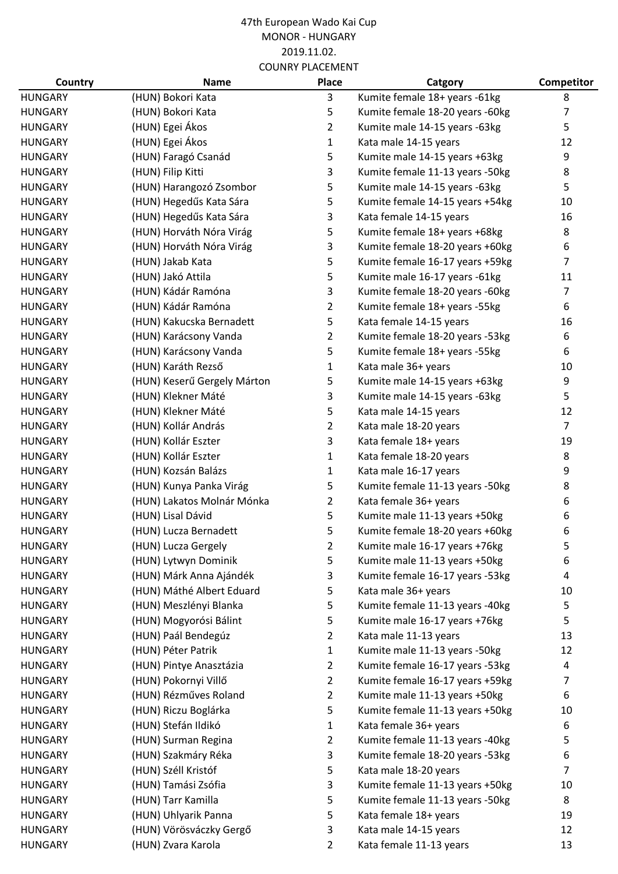| Country        | <b>Name</b>                 | <b>Place</b>   | Catgory                         | <b>Competitor</b> |
|----------------|-----------------------------|----------------|---------------------------------|-------------------|
| <b>HUNGARY</b> | (HUN) Bokori Kata           | 3              | Kumite female 18+ years -61kg   | 8                 |
| <b>HUNGARY</b> | (HUN) Bokori Kata           | 5              | Kumite female 18-20 years -60kg | 7                 |
| <b>HUNGARY</b> | (HUN) Egei Ákos             | $\overline{2}$ | Kumite male 14-15 years -63kg   | 5                 |
| <b>HUNGARY</b> | (HUN) Egei Ákos             | $\mathbf{1}$   | Kata male 14-15 years           | 12                |
| <b>HUNGARY</b> | (HUN) Faragó Csanád         | 5              | Kumite male 14-15 years +63kg   | 9                 |
| <b>HUNGARY</b> | (HUN) Filip Kitti           | 3              | Kumite female 11-13 years -50kg | 8                 |
| <b>HUNGARY</b> | (HUN) Harangozó Zsombor     | 5              | Kumite male 14-15 years -63kg   | 5                 |
| <b>HUNGARY</b> | (HUN) Hegedűs Kata Sára     | 5              | Kumite female 14-15 years +54kg | 10                |
| <b>HUNGARY</b> | (HUN) Hegedűs Kata Sára     | 3              | Kata female 14-15 years         | 16                |
| <b>HUNGARY</b> | (HUN) Horváth Nóra Virág    | 5              | Kumite female 18+ years +68kg   | 8                 |
| <b>HUNGARY</b> | (HUN) Horváth Nóra Virág    | 3              | Kumite female 18-20 years +60kg | 6                 |
| <b>HUNGARY</b> | (HUN) Jakab Kata            | 5              | Kumite female 16-17 years +59kg | 7                 |
| <b>HUNGARY</b> | (HUN) Jakó Attila           | 5              | Kumite male 16-17 years -61kg   | 11                |
| <b>HUNGARY</b> | (HUN) Kádár Ramóna          | 3              | Kumite female 18-20 years -60kg | 7                 |
| <b>HUNGARY</b> | (HUN) Kádár Ramóna          | $\overline{2}$ | Kumite female 18+ years -55kg   | 6                 |
| <b>HUNGARY</b> | (HUN) Kakucska Bernadett    | 5              | Kata female 14-15 years         | 16                |
| <b>HUNGARY</b> | (HUN) Karácsony Vanda       | $\overline{2}$ | Kumite female 18-20 years -53kg | 6                 |
| <b>HUNGARY</b> | (HUN) Karácsony Vanda       | 5              | Kumite female 18+ years -55kg   | 6                 |
| <b>HUNGARY</b> | (HUN) Karáth Rezső          | 1              | Kata male 36+ years             | 10                |
| <b>HUNGARY</b> | (HUN) Keserű Gergely Márton | 5              | Kumite male 14-15 years +63kg   | 9                 |
| <b>HUNGARY</b> | (HUN) Klekner Máté          | 3              | Kumite male 14-15 years -63kg   | 5                 |
| <b>HUNGARY</b> | (HUN) Klekner Máté          | 5              | Kata male 14-15 years           | 12                |
| <b>HUNGARY</b> | (HUN) Kollár András         | $\overline{2}$ | Kata male 18-20 years           | $\overline{7}$    |
| <b>HUNGARY</b> | (HUN) Kollár Eszter         | 3              | Kata female 18+ years           | 19                |
| <b>HUNGARY</b> | (HUN) Kollár Eszter         | 1              | Kata female 18-20 years         | 8                 |
| <b>HUNGARY</b> | (HUN) Kozsán Balázs         | $\mathbf{1}$   | Kata male 16-17 years           | 9                 |
| <b>HUNGARY</b> | (HUN) Kunya Panka Virág     | 5              | Kumite female 11-13 years -50kg | 8                 |
| <b>HUNGARY</b> | (HUN) Lakatos Molnár Mónka  | $\overline{2}$ | Kata female 36+ years           | 6                 |
| <b>HUNGARY</b> | (HUN) Lisal Dávid           | 5              | Kumite male 11-13 years +50kg   | 6                 |
| <b>HUNGARY</b> | (HUN) Lucza Bernadett       | 5              | Kumite female 18-20 years +60kg | 6                 |
| <b>HUNGARY</b> | (HUN) Lucza Gergely         | $\overline{2}$ | Kumite male 16-17 years +76kg   | 5                 |
| <b>HUNGARY</b> | (HUN) Lytwyn Dominik        | 5              | Kumite male 11-13 years +50kg   | 6                 |
| <b>HUNGARY</b> | (HUN) Márk Anna Ajándék     | 3              | Kumite female 16-17 years -53kg | $\overline{a}$    |
| <b>HUNGARY</b> | (HUN) Máthé Albert Eduard   | 5              | Kata male 36+ years             | 10                |
| <b>HUNGARY</b> | (HUN) Meszlényi Blanka      | 5              | Kumite female 11-13 years -40kg | 5                 |
| <b>HUNGARY</b> | (HUN) Mogyorósi Bálint      | 5              | Kumite male 16-17 years +76kg   | 5                 |
| <b>HUNGARY</b> | (HUN) Paál Bendegúz         | $\overline{2}$ | Kata male 11-13 years           | 13                |
| <b>HUNGARY</b> | (HUN) Péter Patrik          | 1              | Kumite male 11-13 years -50kg   | 12                |
| <b>HUNGARY</b> | (HUN) Pintye Anasztázia     | $\overline{2}$ | Kumite female 16-17 years -53kg | 4                 |
| <b>HUNGARY</b> | (HUN) Pokornyi Villő        | $\overline{2}$ | Kumite female 16-17 years +59kg | 7                 |
| <b>HUNGARY</b> | (HUN) Rézműves Roland       | $\overline{2}$ | Kumite male 11-13 years +50kg   | 6                 |
| <b>HUNGARY</b> | (HUN) Riczu Boglárka        | 5              | Kumite female 11-13 years +50kg | 10                |
| <b>HUNGARY</b> | (HUN) Stefán Ildikó         | $\mathbf{1}$   | Kata female 36+ years           | 6                 |
| <b>HUNGARY</b> | (HUN) Surman Regina         | $\overline{2}$ | Kumite female 11-13 years -40kg | 5                 |
| <b>HUNGARY</b> | (HUN) Szakmáry Réka         | 3              | Kumite female 18-20 years -53kg | 6                 |
| <b>HUNGARY</b> | (HUN) Széll Kristóf         | 5              | Kata male 18-20 years           | $\overline{7}$    |
| <b>HUNGARY</b> | (HUN) Tamási Zsófia         | 3              | Kumite female 11-13 years +50kg | 10                |
| <b>HUNGARY</b> | (HUN) Tarr Kamilla          | 5              | Kumite female 11-13 years -50kg | 8                 |
| <b>HUNGARY</b> | (HUN) Uhlyarik Panna        | 5              | Kata female 18+ years           | 19                |
| <b>HUNGARY</b> | (HUN) Vörösváczky Gergő     | 3              | Kata male 14-15 years           | 12                |
| <b>HUNGARY</b> | (HUN) Zvara Karola          | $\overline{2}$ | Kata female 11-13 years         | 13                |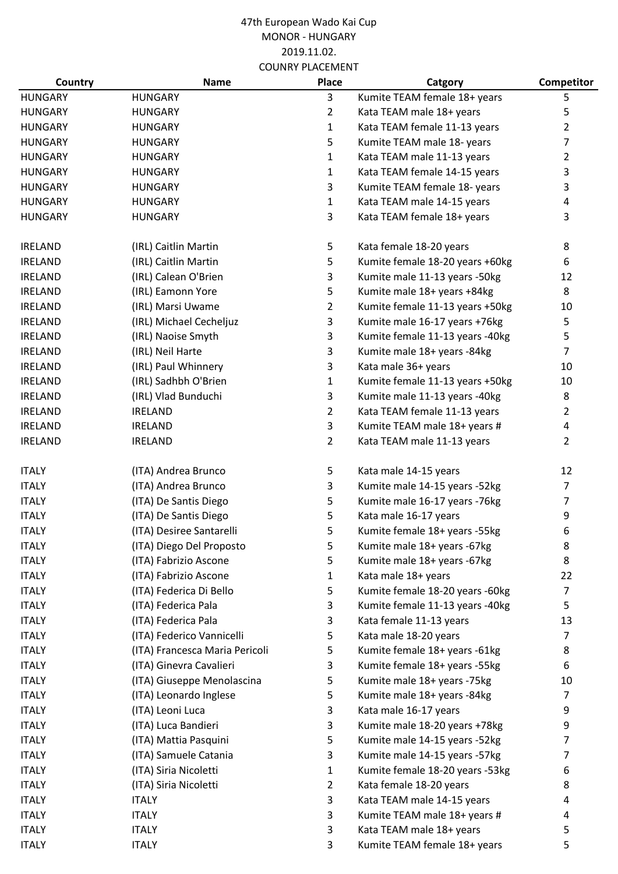| Country        | <b>Name</b>                    | <b>Place</b>   | Catgory                         | Competitor     |
|----------------|--------------------------------|----------------|---------------------------------|----------------|
| <b>HUNGARY</b> | <b>HUNGARY</b>                 | 3              | Kumite TEAM female 18+ years    | 5              |
| <b>HUNGARY</b> | <b>HUNGARY</b>                 | $\overline{2}$ | Kata TEAM male 18+ years        | 5              |
| <b>HUNGARY</b> | <b>HUNGARY</b>                 | $\mathbf{1}$   | Kata TEAM female 11-13 years    | $\overline{2}$ |
| <b>HUNGARY</b> | <b>HUNGARY</b>                 | 5              | Kumite TEAM male 18- years      | 7              |
| <b>HUNGARY</b> | <b>HUNGARY</b>                 | $\mathbf{1}$   | Kata TEAM male 11-13 years      | $\overline{2}$ |
| <b>HUNGARY</b> | <b>HUNGARY</b>                 | $\mathbf{1}$   | Kata TEAM female 14-15 years    | 3              |
| <b>HUNGARY</b> | <b>HUNGARY</b>                 | 3              | Kumite TEAM female 18- years    | 3              |
| <b>HUNGARY</b> | <b>HUNGARY</b>                 | $\mathbf{1}$   | Kata TEAM male 14-15 years      | 4              |
| <b>HUNGARY</b> | <b>HUNGARY</b>                 | 3              | Kata TEAM female 18+ years      | 3              |
| <b>IRELAND</b> | (IRL) Caitlin Martin           | 5              | Kata female 18-20 years         | 8              |
| <b>IRELAND</b> | (IRL) Caitlin Martin           | 5              | Kumite female 18-20 years +60kg | 6              |
| <b>IRELAND</b> | (IRL) Calean O'Brien           | 3              | Kumite male 11-13 years -50kg   | 12             |
| <b>IRELAND</b> | (IRL) Eamonn Yore              | 5              | Kumite male 18+ years +84kg     | 8              |
| <b>IRELAND</b> | (IRL) Marsi Uwame              | $\overline{2}$ | Kumite female 11-13 years +50kg | 10             |
| <b>IRELAND</b> | (IRL) Michael Cecheljuz        | 3              | Kumite male 16-17 years +76kg   | 5              |
| <b>IRELAND</b> | (IRL) Naoise Smyth             | 3              | Kumite female 11-13 years -40kg | 5              |
| <b>IRELAND</b> | (IRL) Neil Harte               | 3              | Kumite male 18+ years -84kg     | $\overline{7}$ |
| <b>IRELAND</b> | (IRL) Paul Whinnery            | 3              | Kata male 36+ years             | 10             |
| <b>IRELAND</b> | (IRL) Sadhbh O'Brien           | $\mathbf{1}$   | Kumite female 11-13 years +50kg | 10             |
| <b>IRELAND</b> | (IRL) Vlad Bunduchi            | 3              | Kumite male 11-13 years -40kg   | 8              |
| <b>IRELAND</b> | <b>IRELAND</b>                 | $\overline{2}$ | Kata TEAM female 11-13 years    | 2              |
| <b>IRELAND</b> | <b>IRELAND</b>                 | 3              | Kumite TEAM male 18+ years #    | 4              |
| <b>IRELAND</b> | <b>IRELAND</b>                 | $\overline{2}$ | Kata TEAM male 11-13 years      | $\overline{2}$ |
| <b>ITALY</b>   | (ITA) Andrea Brunco            | 5              | Kata male 14-15 years           | 12             |
| <b>ITALY</b>   | (ITA) Andrea Brunco            | 3              | Kumite male 14-15 years -52kg   | $\overline{7}$ |
| <b>ITALY</b>   | (ITA) De Santis Diego          | 5              | Kumite male 16-17 years -76kg   | 7              |
| <b>ITALY</b>   | (ITA) De Santis Diego          | 5              | Kata male 16-17 years           | 9              |
| <b>ITALY</b>   | (ITA) Desiree Santarelli       | 5              | Kumite female 18+ years -55kg   | 6              |
| <b>ITALY</b>   | (ITA) Diego Del Proposto       | 5              | Kumite male 18+ years -67kg     | 8              |
| <b>ITALY</b>   | (ITA) Fabrizio Ascone          | 5              | Kumite male 18+ years -67kg     | 8              |
| <b>ITALY</b>   | (ITA) Fabrizio Ascone          | 1              | Kata male 18+ years             | 22             |
| <b>ITALY</b>   | (ITA) Federica Di Bello        | 5              | Kumite female 18-20 years -60kg | $\overline{7}$ |
| <b>ITALY</b>   | (ITA) Federica Pala            | 3              | Kumite female 11-13 years -40kg | 5              |
| <b>ITALY</b>   | (ITA) Federica Pala            | 3              | Kata female 11-13 years         | 13             |
| <b>ITALY</b>   | (ITA) Federico Vannicelli      | 5              | Kata male 18-20 years           | $\overline{7}$ |
| <b>ITALY</b>   | (ITA) Francesca Maria Pericoli | 5              | Kumite female 18+ years -61kg   | 8              |
| <b>ITALY</b>   | (ITA) Ginevra Cavalieri        | 3              | Kumite female 18+ years -55kg   | 6              |
| <b>ITALY</b>   | (ITA) Giuseppe Menolascina     | 5              | Kumite male 18+ years -75kg     | 10             |
| <b>ITALY</b>   | (ITA) Leonardo Inglese         | 5              | Kumite male 18+ years -84kg     | $\overline{7}$ |
| <b>ITALY</b>   | (ITA) Leoni Luca               | 3              | Kata male 16-17 years           | 9              |
| <b>ITALY</b>   | (ITA) Luca Bandieri            | 3              | Kumite male 18-20 years +78kg   | 9              |
| <b>ITALY</b>   | (ITA) Mattia Pasquini          | 5              | Kumite male 14-15 years -52kg   | 7              |
| <b>ITALY</b>   | (ITA) Samuele Catania          | 3              | Kumite male 14-15 years -57kg   | 7              |
| <b>ITALY</b>   | (ITA) Siria Nicoletti          | 1              | Kumite female 18-20 years -53kg | 6              |
| <b>ITALY</b>   | (ITA) Siria Nicoletti          | $\overline{2}$ | Kata female 18-20 years         | 8              |
| <b>ITALY</b>   | <b>ITALY</b>                   | 3              | Kata TEAM male 14-15 years      | 4              |
| <b>ITALY</b>   | <b>ITALY</b>                   | 3              | Kumite TEAM male 18+ years #    | 4              |
| <b>ITALY</b>   | <b>ITALY</b>                   | 3              | Kata TEAM male 18+ years        | 5              |
| <b>ITALY</b>   | <b>ITALY</b>                   | 3              | Kumite TEAM female 18+ years    | 5              |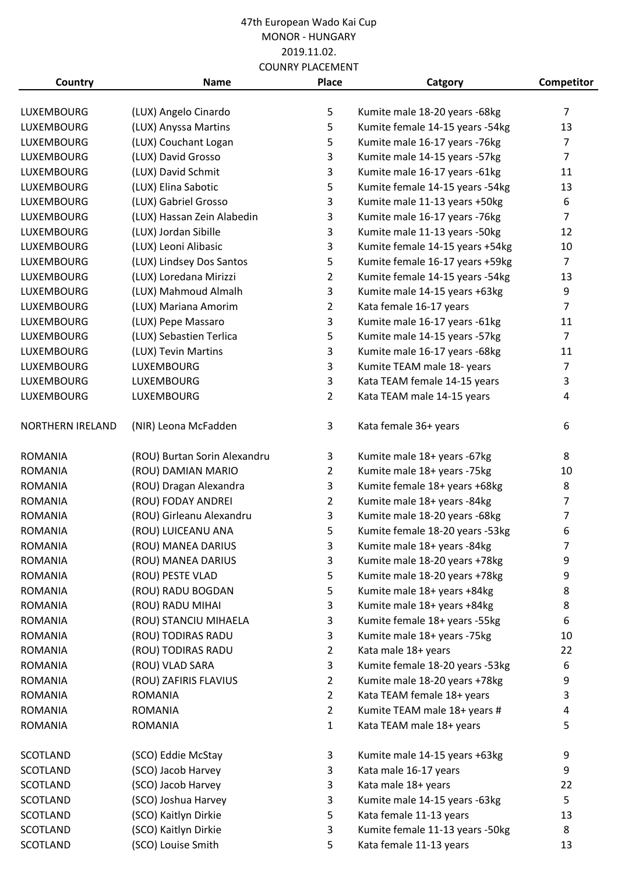|                         |                              | COOINNI FLACLIVILINI |                                 |                |
|-------------------------|------------------------------|----------------------|---------------------------------|----------------|
| Country                 | <b>Name</b>                  | <b>Place</b>         | Catgory                         | Competitor     |
| <b>LUXEMBOURG</b>       | (LUX) Angelo Cinardo         | 5                    | Kumite male 18-20 years -68kg   | $\overline{7}$ |
| <b>LUXEMBOURG</b>       | (LUX) Anyssa Martins         | 5                    | Kumite female 14-15 years -54kg | 13             |
| LUXEMBOURG              | (LUX) Couchant Logan         | 5                    | Kumite male 16-17 years -76kg   | $\overline{7}$ |
|                         |                              |                      |                                 | $\overline{7}$ |
| <b>LUXEMBOURG</b>       | (LUX) David Grosso           | 3                    | Kumite male 14-15 years -57kg   |                |
| <b>LUXEMBOURG</b>       | (LUX) David Schmit           | 3                    | Kumite male 16-17 years -61kg   | 11             |
| <b>LUXEMBOURG</b>       | (LUX) Elina Sabotic          | 5                    | Kumite female 14-15 years -54kg | 13             |
| <b>LUXEMBOURG</b>       | (LUX) Gabriel Grosso         | 3                    | Kumite male 11-13 years +50kg   | 6              |
| <b>LUXEMBOURG</b>       | (LUX) Hassan Zein Alabedin   | 3                    | Kumite male 16-17 years -76kg   | $\overline{7}$ |
| <b>LUXEMBOURG</b>       | (LUX) Jordan Sibille         | 3                    | Kumite male 11-13 years -50kg   | 12             |
| <b>LUXEMBOURG</b>       | (LUX) Leoni Alibasic         | 3                    | Kumite female 14-15 years +54kg | 10             |
| <b>LUXEMBOURG</b>       | (LUX) Lindsey Dos Santos     | 5                    | Kumite female 16-17 years +59kg | $\overline{7}$ |
| <b>LUXEMBOURG</b>       | (LUX) Loredana Mirizzi       | $\overline{2}$       | Kumite female 14-15 years -54kg | 13             |
| <b>LUXEMBOURG</b>       | (LUX) Mahmoud Almalh         | 3                    | Kumite male 14-15 years +63kg   | 9              |
| <b>LUXEMBOURG</b>       | (LUX) Mariana Amorim         | $\overline{2}$       | Kata female 16-17 years         | $\overline{7}$ |
| <b>LUXEMBOURG</b>       | (LUX) Pepe Massaro           | 3                    | Kumite male 16-17 years -61kg   | 11             |
| <b>LUXEMBOURG</b>       | (LUX) Sebastien Terlica      | 5                    | Kumite male 14-15 years -57kg   | $\overline{7}$ |
| <b>LUXEMBOURG</b>       | (LUX) Tevin Martins          | 3                    | Kumite male 16-17 years -68kg   | 11             |
| <b>LUXEMBOURG</b>       | <b>LUXEMBOURG</b>            | 3                    | Kumite TEAM male 18- years      | $\overline{7}$ |
| LUXEMBOURG              | <b>LUXEMBOURG</b>            | 3                    | Kata TEAM female 14-15 years    | 3              |
| LUXEMBOURG              | <b>LUXEMBOURG</b>            | $\overline{2}$       | Kata TEAM male 14-15 years      | 4              |
| <b>NORTHERN IRELAND</b> | (NIR) Leona McFadden         | 3                    | Kata female 36+ years           | 6              |
| <b>ROMANIA</b>          | (ROU) Burtan Sorin Alexandru | 3                    | Kumite male 18+ years -67kg     | 8              |
| <b>ROMANIA</b>          | (ROU) DAMIAN MARIO           | $\overline{2}$       | Kumite male 18+ years -75kg     | 10             |
| <b>ROMANIA</b>          | (ROU) Dragan Alexandra       | 3                    | Kumite female 18+ years +68kg   | 8              |
| <b>ROMANIA</b>          | (ROU) FODAY ANDREI           | $\overline{2}$       | Kumite male 18+ years -84kg     | $\overline{7}$ |
| <b>ROMANIA</b>          | (ROU) Girleanu Alexandru     | 3                    | Kumite male 18-20 years -68kg   | $\overline{7}$ |
| <b>ROMANIA</b>          | (ROU) LUICEANU ANA           | 5                    | Kumite female 18-20 years -53kg | 6              |
| <b>ROMANIA</b>          | (ROU) MANEA DARIUS           | 3                    | Kumite male 18+ years -84kg     | 7              |
| <b>ROMANIA</b>          | (ROU) MANEA DARIUS           | 3                    | Kumite male 18-20 years +78kg   | 9              |
| <b>ROMANIA</b>          | (ROU) PESTE VLAD             | 5                    | Kumite male 18-20 years +78kg   | 9              |
| <b>ROMANIA</b>          | (ROU) RADU BOGDAN            | 5                    | Kumite male 18+ years +84kg     | 8              |
| <b>ROMANIA</b>          | (ROU) RADU MIHAI             | 3                    | Kumite male 18+ years +84kg     | 8              |
| ROMANIA                 | (ROU) STANCIU MIHAELA        | 3                    | Kumite female 18+ years -55kg   | 6              |
| <b>ROMANIA</b>          | (ROU) TODIRAS RADU           | 3                    | Kumite male 18+ years -75kg     | 10             |
| <b>ROMANIA</b>          | (ROU) TODIRAS RADU           | 2                    | Kata male 18+ years             | 22             |
| ROMANIA                 | (ROU) VLAD SARA              | 3                    | Kumite female 18-20 years -53kg | 6              |
| <b>ROMANIA</b>          | (ROU) ZAFIRIS FLAVIUS        | 2                    | Kumite male 18-20 years +78kg   | 9              |
| <b>ROMANIA</b>          | <b>ROMANIA</b>               | 2                    | Kata TEAM female 18+ years      | 3              |
| <b>ROMANIA</b>          | <b>ROMANIA</b>               | 2                    | Kumite TEAM male 18+ years #    | 4              |
| <b>ROMANIA</b>          | ROMANIA                      | 1                    | Kata TEAM male 18+ years        | 5              |
| <b>SCOTLAND</b>         | (SCO) Eddie McStay           | 3                    | Kumite male 14-15 years +63kg   | 9              |
| <b>SCOTLAND</b>         | (SCO) Jacob Harvey           | 3                    | Kata male 16-17 years           | 9              |
| <b>SCOTLAND</b>         | (SCO) Jacob Harvey           | 3                    | Kata male 18+ years             | 22             |
| <b>SCOTLAND</b>         | (SCO) Joshua Harvey          | 3                    | Kumite male 14-15 years -63kg   | 5              |
| <b>SCOTLAND</b>         | (SCO) Kaitlyn Dirkie         | 5                    | Kata female 11-13 years         | 13             |
|                         |                              |                      | Kumite female 11-13 years -50kg |                |
| SCOTLAND                | (SCO) Kaitlyn Dirkie         | 3                    |                                 | 8              |
| SCOTLAND                | (SCO) Louise Smith           | 5                    | Kata female 11-13 years         | 13             |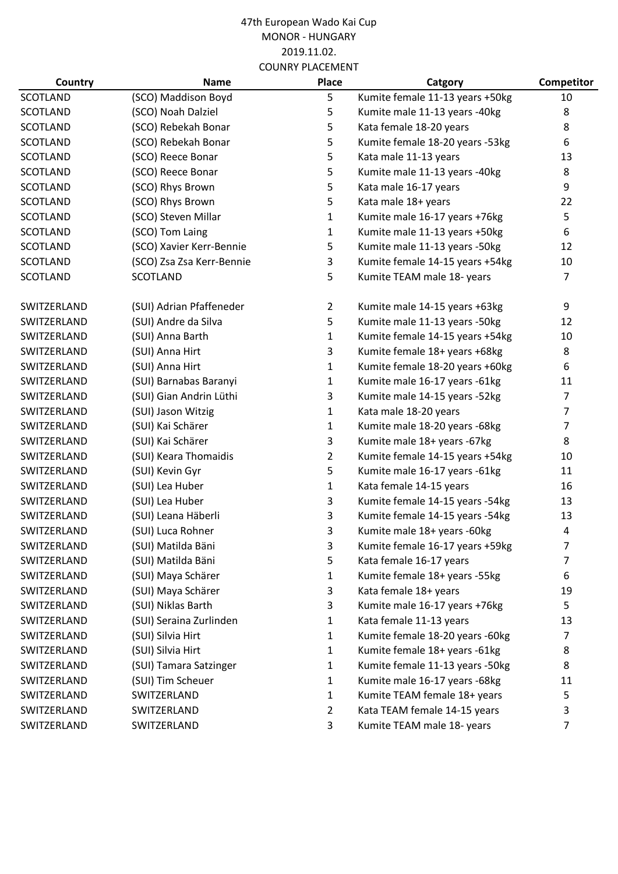| Country         | <b>Name</b>               | Place          | Catgory                         | Competitor     |
|-----------------|---------------------------|----------------|---------------------------------|----------------|
| <b>SCOTLAND</b> | (SCO) Maddison Boyd       | 5              | Kumite female 11-13 years +50kg | 10             |
| <b>SCOTLAND</b> | (SCO) Noah Dalziel        | 5              | Kumite male 11-13 years -40kg   | 8              |
| <b>SCOTLAND</b> | (SCO) Rebekah Bonar       | 5              | Kata female 18-20 years         | 8              |
| <b>SCOTLAND</b> | (SCO) Rebekah Bonar       | 5              | Kumite female 18-20 years -53kg | 6              |
| <b>SCOTLAND</b> | (SCO) Reece Bonar         | 5              | Kata male 11-13 years           | 13             |
| <b>SCOTLAND</b> | (SCO) Reece Bonar         | 5              | Kumite male 11-13 years -40kg   | 8              |
| <b>SCOTLAND</b> | (SCO) Rhys Brown          | 5              | Kata male 16-17 years           | 9              |
| <b>SCOTLAND</b> | (SCO) Rhys Brown          | 5              | Kata male 18+ years             | 22             |
| <b>SCOTLAND</b> | (SCO) Steven Millar       | $\mathbf{1}$   | Kumite male 16-17 years +76kg   | 5              |
| <b>SCOTLAND</b> | (SCO) Tom Laing           | $\mathbf{1}$   | Kumite male 11-13 years +50kg   | 6              |
| <b>SCOTLAND</b> | (SCO) Xavier Kerr-Bennie  | 5              | Kumite male 11-13 years -50kg   | 12             |
| <b>SCOTLAND</b> | (SCO) Zsa Zsa Kerr-Bennie | 3              | Kumite female 14-15 years +54kg | 10             |
| <b>SCOTLAND</b> | SCOTLAND                  | 5              | Kumite TEAM male 18- years      | 7              |
| SWITZERLAND     | (SUI) Adrian Pfaffeneder  | $\overline{2}$ | Kumite male 14-15 years +63kg   | 9              |
| SWITZERLAND     | (SUI) Andre da Silva      | 5              | Kumite male 11-13 years -50kg   | 12             |
| SWITZERLAND     | (SUI) Anna Barth          | 1              | Kumite female 14-15 years +54kg | 10             |
| SWITZERLAND     | (SUI) Anna Hirt           | 3              | Kumite female 18+ years +68kg   | 8              |
| SWITZERLAND     | (SUI) Anna Hirt           | $\mathbf{1}$   | Kumite female 18-20 years +60kg | 6              |
| SWITZERLAND     | (SUI) Barnabas Baranyi    | $\mathbf{1}$   | Kumite male 16-17 years -61kg   | 11             |
| SWITZERLAND     | (SUI) Gian Andrin Lüthi   | 3              | Kumite male 14-15 years -52kg   | 7              |
| SWITZERLAND     | (SUI) Jason Witzig        | 1              | Kata male 18-20 years           | 7              |
| SWITZERLAND     | (SUI) Kai Schärer         | $\mathbf 1$    | Kumite male 18-20 years -68kg   | 7              |
| SWITZERLAND     | (SUI) Kai Schärer         | 3              | Kumite male 18+ years -67kg     | 8              |
| SWITZERLAND     | (SUI) Keara Thomaidis     | $\overline{2}$ | Kumite female 14-15 years +54kg | 10             |
| SWITZERLAND     | (SUI) Kevin Gyr           | 5              | Kumite male 16-17 years -61kg   | 11             |
| SWITZERLAND     | (SUI) Lea Huber           | 1              | Kata female 14-15 years         | 16             |
| SWITZERLAND     | (SUI) Lea Huber           | 3              | Kumite female 14-15 years -54kg | 13             |
| SWITZERLAND     | (SUI) Leana Häberli       | 3              | Kumite female 14-15 years -54kg | 13             |
| SWITZERLAND     | (SUI) Luca Rohner         | 3              | Kumite male 18+ years -60kg     | $\overline{4}$ |
| SWITZERLAND     | (SUI) Matilda Bäni        | 3              | Kumite female 16-17 years +59kg | 7              |
| SWITZERLAND     | (SUI) Matilda Bäni        | 5              | Kata female 16-17 years         | 7              |
| SWITZERLAND     | (SUI) Maya Schärer        | 1              | Kumite female 18+ years -55kg   | 6              |
| SWITZERLAND     | (SUI) Maya Schärer        | 3              | Kata female 18+ years           | 19             |
| SWITZERLAND     | (SUI) Niklas Barth        | 3              | Kumite male 16-17 years +76kg   | 5              |
| SWITZERLAND     | (SUI) Seraina Zurlinden   | 1              | Kata female 11-13 years         | 13             |
| SWITZERLAND     | (SUI) Silvia Hirt         | 1              | Kumite female 18-20 years -60kg | 7              |
| SWITZERLAND     | (SUI) Silvia Hirt         | 1              | Kumite female 18+ years -61kg   | 8              |
| SWITZERLAND     | (SUI) Tamara Satzinger    | 1              | Kumite female 11-13 years -50kg | 8              |
| SWITZERLAND     | (SUI) Tim Scheuer         | 1              | Kumite male 16-17 years -68kg   | 11             |
| SWITZERLAND     | SWITZERLAND               | 1              | Kumite TEAM female 18+ years    | 5.             |
| SWITZERLAND     | SWITZERLAND               | 2              | Kata TEAM female 14-15 years    | 3              |
| SWITZERLAND     | SWITZERLAND               | 3              | Kumite TEAM male 18- years      | 7              |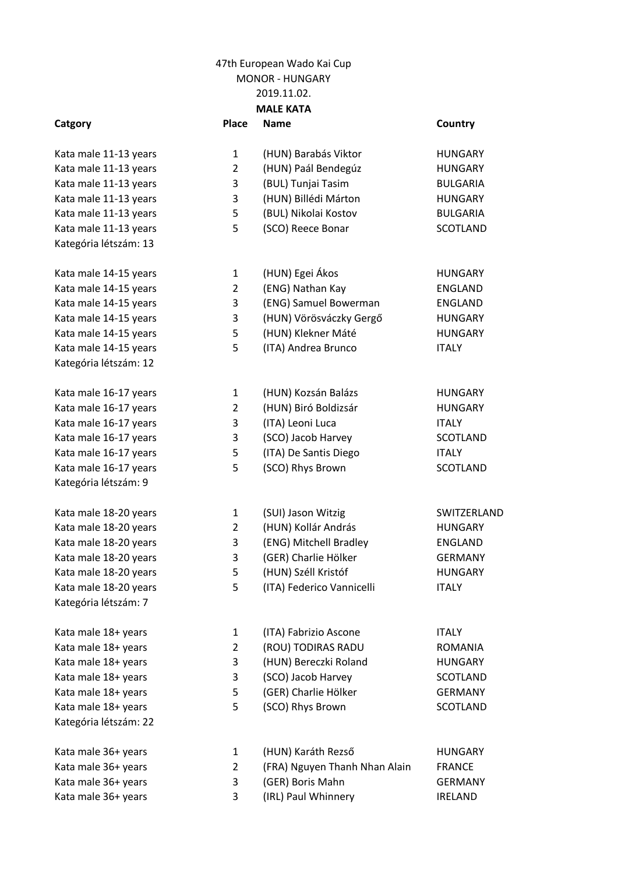Kata male 36+ years Kata male 36+ years Kata male 36+ years

|                       | 2019.11.02.    |                               |                 |  |  |
|-----------------------|----------------|-------------------------------|-----------------|--|--|
|                       |                | <b>MALE KATA</b>              |                 |  |  |
| Catgory               | <b>Place</b>   | <b>Name</b>                   | Country         |  |  |
| Kata male 11-13 years | $\mathbf{1}$   | (HUN) Barabás Viktor          | <b>HUNGARY</b>  |  |  |
| Kata male 11-13 years | $\overline{2}$ | (HUN) Paál Bendegúz           | <b>HUNGARY</b>  |  |  |
| Kata male 11-13 years | 3              | (BUL) Tunjai Tasim            | <b>BULGARIA</b> |  |  |
| Kata male 11-13 years | 3              | (HUN) Billédi Márton          | <b>HUNGARY</b>  |  |  |
| Kata male 11-13 years | 5              | (BUL) Nikolai Kostov          | <b>BULGARIA</b> |  |  |
| Kata male 11-13 years | 5              | (SCO) Reece Bonar             | <b>SCOTLAND</b> |  |  |
| Kategória létszám: 13 |                |                               |                 |  |  |
| Kata male 14-15 years | $\mathbf{1}$   | (HUN) Egei Ákos               | <b>HUNGARY</b>  |  |  |
| Kata male 14-15 years | $\overline{2}$ | (ENG) Nathan Kay              | <b>ENGLAND</b>  |  |  |
| Kata male 14-15 years | 3              | (ENG) Samuel Bowerman         | <b>ENGLAND</b>  |  |  |
| Kata male 14-15 years | 3              | (HUN) Vörösváczky Gergő       | <b>HUNGARY</b>  |  |  |
| Kata male 14-15 years | 5              | (HUN) Klekner Máté            | <b>HUNGARY</b>  |  |  |
| Kata male 14-15 years | 5              | (ITA) Andrea Brunco           | <b>ITALY</b>    |  |  |
| Kategória létszám: 12 |                |                               |                 |  |  |
| Kata male 16-17 years | 1              | (HUN) Kozsán Balázs           | <b>HUNGARY</b>  |  |  |
| Kata male 16-17 years | $\overline{2}$ | (HUN) Biró Boldizsár          | <b>HUNGARY</b>  |  |  |
| Kata male 16-17 years | 3              | (ITA) Leoni Luca              | <b>ITALY</b>    |  |  |
| Kata male 16-17 years | 3              | (SCO) Jacob Harvey            | <b>SCOTLAND</b> |  |  |
| Kata male 16-17 years | 5              | (ITA) De Santis Diego         | <b>ITALY</b>    |  |  |
| Kata male 16-17 years | 5              | (SCO) Rhys Brown              | <b>SCOTLAND</b> |  |  |
| Kategória létszám: 9  |                |                               |                 |  |  |
| Kata male 18-20 years | $\mathbf{1}$   | (SUI) Jason Witzig            | SWITZERLAND     |  |  |
| Kata male 18-20 years | $\overline{2}$ | (HUN) Kollár András           | <b>HUNGARY</b>  |  |  |
| Kata male 18-20 years | 3              | (ENG) Mitchell Bradley        | <b>ENGLAND</b>  |  |  |
| Kata male 18-20 years | 3              | (GER) Charlie Hölker          | <b>GERMANY</b>  |  |  |
| Kata male 18-20 years | 5              | (HUN) Széll Kristóf           | <b>HUNGARY</b>  |  |  |
| Kata male 18-20 years | 5              | (ITA) Federico Vannicelli     | <b>ITALY</b>    |  |  |
| Kategória létszám: 7  |                |                               |                 |  |  |
| Kata male 18+ years   | 1              | (ITA) Fabrizio Ascone         | <b>ITALY</b>    |  |  |
| Kata male 18+ years   | $\overline{2}$ | (ROU) TODIRAS RADU            | ROMANIA         |  |  |
| Kata male 18+ years   | 3              | (HUN) Bereczki Roland         | <b>HUNGARY</b>  |  |  |
| Kata male 18+ years   | 3              | (SCO) Jacob Harvey            | SCOTLAND        |  |  |
| Kata male 18+ years   | 5              | (GER) Charlie Hölker          | <b>GERMANY</b>  |  |  |
| Kata male 18+ years   | 5              | (SCO) Rhys Brown              | SCOTLAND        |  |  |
| Kategória létszám: 22 |                |                               |                 |  |  |
| Kata male 36+ years   | $\mathbf{1}$   | (HUN) Karáth Rezső            | <b>HUNGARY</b>  |  |  |
| Kata male 36+ years   | $\overline{2}$ | (FRA) Nguyen Thanh Nhan Alain | <b>FRANCE</b>   |  |  |
| Kata male 36+ years   | 3              | (GER) Boris Mahn              | <b>GERMANY</b>  |  |  |

Kata male 36+ years 18 (IRL) Paul Whinnery 18 (IRL) Paul Whinnery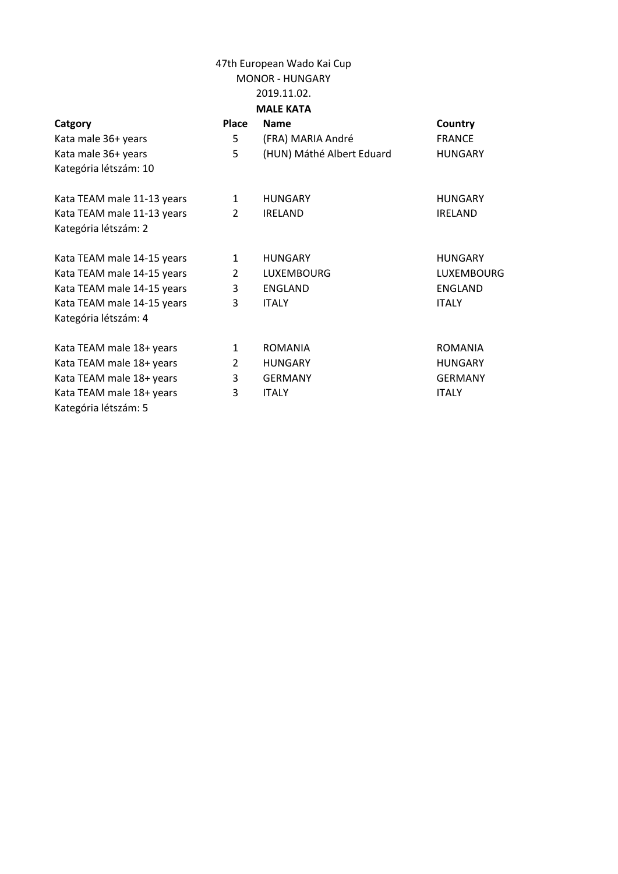|                     |              | 2019.11.02.       |               |
|---------------------|--------------|-------------------|---------------|
|                     |              | <b>MALE KATA</b>  |               |
| Catgory             | <b>Place</b> | <b>Name</b>       | Country       |
| Kata male 36+ years |              | (FRA) MARIA André | <b>FRANCE</b> |

| Kata male 36+ years        | 5              | (FRA) MARIA André         | <b>FRANCE</b>  |
|----------------------------|----------------|---------------------------|----------------|
| Kata male 36+ years        | 5              | (HUN) Máthé Albert Eduard | <b>HUNGARY</b> |
| Kategória létszám: 10      |                |                           |                |
|                            |                |                           |                |
| Kata TEAM male 11-13 years | 1              | <b>HUNGARY</b>            | <b>HUNGARY</b> |
| Kata TEAM male 11-13 years | $\overline{2}$ | <b>IRELAND</b>            | <b>IRELAND</b> |
| Kategória létszám: 2       |                |                           |                |
| Kata TEAM male 14-15 years | 1              | <b>HUNGARY</b>            | <b>HUNGARY</b> |
| Kata TEAM male 14-15 years | $\overline{2}$ | <b>LUXEMBOURG</b>         | LUXEMBOURG     |
| Kata TEAM male 14-15 years | 3              | ENGLAND                   | ENGLAND        |
| Kata TEAM male 14-15 years | 3              | <b>ITALY</b>              | <b>ITALY</b>   |
| Kategória létszám: 4       |                |                           |                |
| Kata TEAM male 18+ years   | $\mathbf{1}$   | <b>ROMANIA</b>            | <b>ROMANIA</b> |
| Kata TEAM male 18+ years   | 2              | <b>HUNGARY</b>            | <b>HUNGARY</b> |
| Kata TEAM male 18+ years   | 3              | <b>GERMANY</b>            | <b>GERMANY</b> |
| Kata TEAM male 18+ years   | 3              | <b>ITALY</b>              | <b>ITALY</b>   |
| Kategória létszám: 5       |                |                           |                |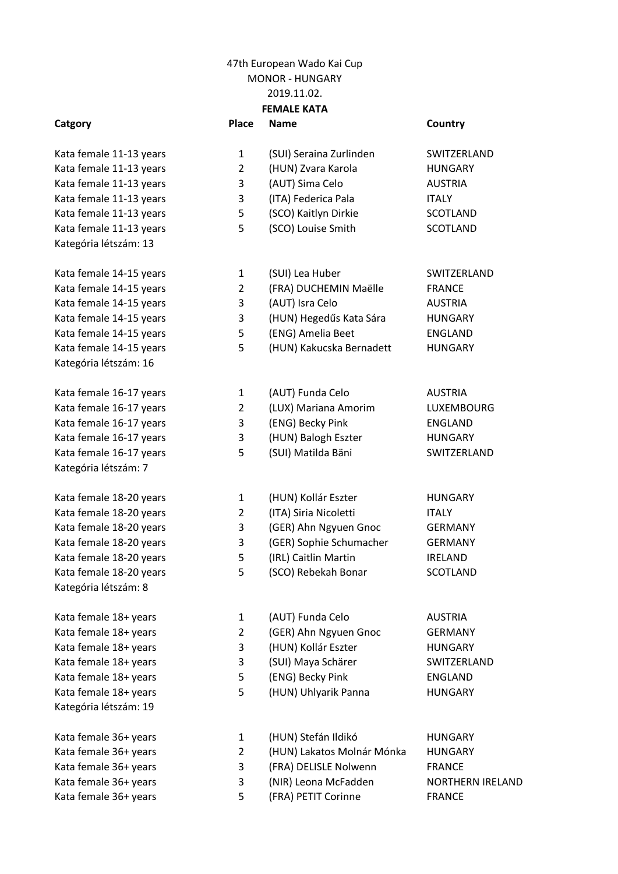### **Catgory Place Name Country**

Kata female 11-13 years Kata female 11-13 years 5 (SCO) Louise Smith Kategória létszám: 13

Kata female 14-15 years and manufacture 3 (AUT) Isra Celo Kategória létszám: 16

Kata female 16-17 years 3 (ENG) Becky Pink Kata female 16-17 years 5 (SUI) Matilda Bäni Kategória létszám: 7

Kata female 18-20 years 2 (ITA) Siria Nicoletti Kata female 18-20 years 5 (IRL) Caitlin Martin Kategória létszám: 8

Kata female 18+ years 1 (AUT) Funda Celo Kategória létszám: 19

Kata female 36+ years The State State State Terms of FRANCE State State State State State State State State St

| Kata female 11-13 years                          |   | (SUI) Seraina Zurlinden                                 |  |
|--------------------------------------------------|---|---------------------------------------------------------|--|
| Kata female 11-13 years                          |   | (HUN) Zvara Karola                                      |  |
| Kata female 11-13 years                          | 3 | (AUT) Sima Celo                                         |  |
| Kata female 11-13 years                          | 3 | (ITA) Federica Pala                                     |  |
| Kata female 11-13 years                          | 5 | (SCO) Kaitlyn Dirkie                                    |  |
| $\sim$ $\sim$ $\sim$ $\sim$ $\sim$ $\sim$ $\sim$ |   | $\sim$ $\sim$ $\sim$ $\sim$ $\sim$ $\sim$ $\sim$ $\sim$ |  |

- Kata female 14-15 years 1 (SUI) Lea Huber SWITZERLAND Kata female 14-15 years 2 (FRA) DUCHEMIN Maëlle Kata female 14-15 years 3 (HUN) Hegedűs Kata Sára Kata female 14-15 years 6 [5] [ENG] Amelia Beet Kata female 14-15 years 6 (HUN) Kakucska Bernadett
- Kata female 16-17 years 1 (AUT) Funda Celo Kata female 16-17 years 2 (LUX) Mariana Amorim Kata female 16-17 years 3 (HUN) Balogh Eszter
	-
- Kata female 18-20 years 1 (HUN) Kollár Eszter Kata female 18-20 years 3 (GER) Ahn Ngyuen Gnoc Kata female 18-20 years 3 (GER) Sophie Schumacher Kata female 18-20 years 5 (SCO) Rebekah Bonar
- Kata female 18+ years 2 (GER) Ahn Ngyuen Gnoc Kata female 18+ years 3 (HUN) Kollár Eszter Kata female 18+ years 3 (SUI) Maya Schärer Kata female 18+ years 1980 5 (ENG) Becky Pink Kata female 18+ years 6 (HUN) Uhlyarik Panna
- Kata female 36+ years 1 (HUN) Stefán Ildikó HUNGARY Kata female 36+ years 2 (HUN) Lakatos Molnár Mónka HUNGARY Kata female 36+ years 3 (FRA) DELISLE Nolwenn FRANCE Kata female 36+ years 3 (NIR) Leona McFadden NORTHERN IRELAND
	-

| SWITZERLAND  |
|--------------|
| HUNGARY      |
| AUSTRIA      |
| <b>ITALY</b> |
| SCOTLAND     |
| SCOTLAND     |

| SWITZERLAND    |
|----------------|
| FRANCE         |
| AUSTRIA        |
| HUNGARY        |
| ENGLAND        |
| <b>HUNGARY</b> |

| <b>AUSTRIA</b>     |
|--------------------|
| LUXEMBOURG         |
| FNGLAND            |
| HUNGARY            |
| <b>SWITZFRLAND</b> |

| HUNGARY  |
|----------|
| ITALY    |
| GERMANY  |
| GERMANY  |
| IRELAND  |
| SCOTLAND |

| AUSTRIA     |
|-------------|
| GERMANY     |
| HUNGARY     |
| SWITZERLAND |
| ENGLAND     |
| HUNGARY     |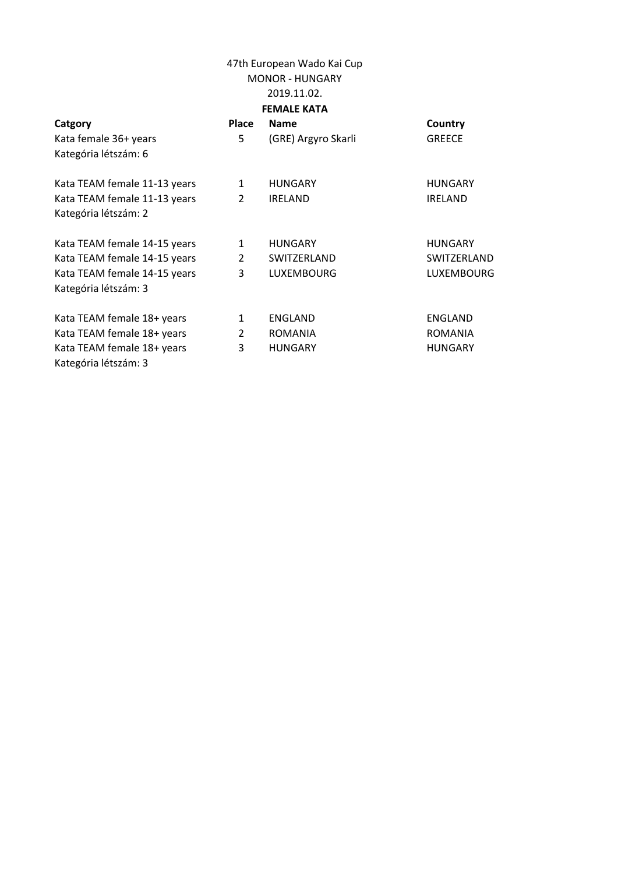| Catgory<br>Kata female 36+ years<br>Kategória létszám: 6 | <b>Place</b><br>5. | <b>Name</b><br>(GRE) Argyro Skarli | Country<br><b>GREECE</b> |
|----------------------------------------------------------|--------------------|------------------------------------|--------------------------|
| Kata TEAM female 11-13 years                             | 1                  | <b>HUNGARY</b>                     | <b>HUNGARY</b>           |
| Kata TEAM female 11-13 years<br>Kategória létszám: 2     | $\overline{2}$     | <b>IRELAND</b>                     | <b>IRELAND</b>           |
| Kata TEAM female 14-15 years                             | 1                  | <b>HUNGARY</b>                     | <b>HUNGARY</b>           |
| Kata TEAM female 14-15 years                             | $\overline{2}$     | SWITZERLAND                        | SWITZERLAND              |
| Kata TEAM female 14-15 years                             | 3                  | <b>LUXEMBOURG</b>                  | <b>LUXEMBOURG</b>        |
| Kategória létszám: 3                                     |                    |                                    |                          |
| Kata TEAM female 18+ years                               | 1                  | ENGLAND                            | <b>ENGLAND</b>           |
| Kata TEAM female 18+ years                               | $\overline{2}$     | <b>ROMANIA</b>                     | <b>ROMANIA</b>           |
| Kata TEAM female 18+ years                               | 3                  | <b>HUNGARY</b>                     | <b>HUNGARY</b>           |
| Kategória létszám: 3                                     |                    |                                    |                          |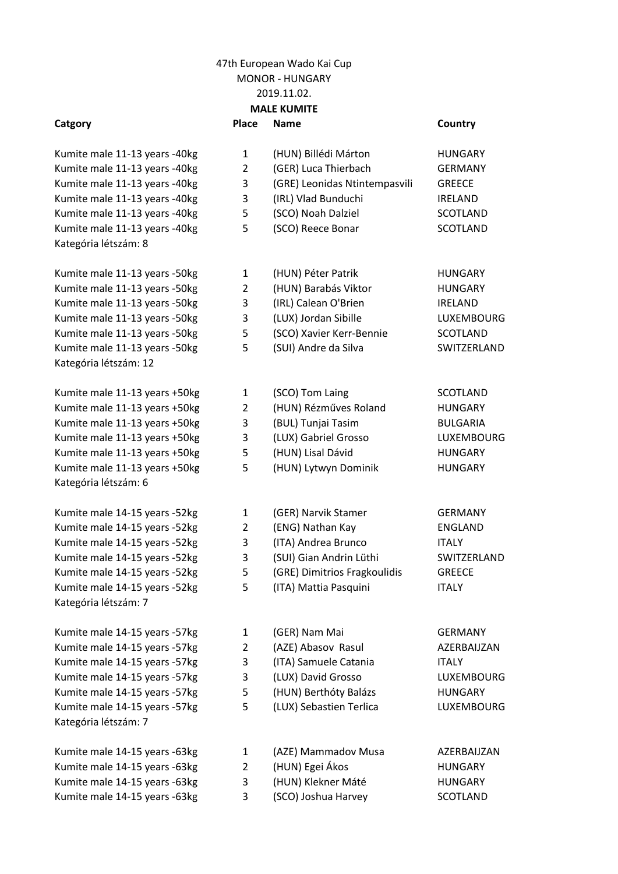Kumite male 14-15 years -63kg Kumite male 14-15 years -63kg 2 (HUN) Egei Ákos HUNGARY Kumite male 14-15 years -63kg 3 (HUN) Klekner Máté HUNGARY Kumite male 14-15 years -63kg and SCOO Joshua Harvey SCOTLAND

|                               |                | 2013.11.02.                   |                 |
|-------------------------------|----------------|-------------------------------|-----------------|
|                               |                | <b>MALE KUMITE</b>            |                 |
| Catgory                       | Place          | <b>Name</b>                   | Country         |
| Kumite male 11-13 years -40kg | $\mathbf{1}$   | (HUN) Billédi Márton          | <b>HUNGARY</b>  |
| Kumite male 11-13 years -40kg | $\overline{2}$ | (GER) Luca Thierbach          | <b>GERMANY</b>  |
| Kumite male 11-13 years -40kg | 3              | (GRE) Leonidas Ntintempasvili | <b>GREECE</b>   |
| Kumite male 11-13 years -40kg | 3              | (IRL) Vlad Bunduchi           | <b>IRELAND</b>  |
| Kumite male 11-13 years -40kg | 5              | (SCO) Noah Dalziel            | <b>SCOTLAND</b> |
| Kumite male 11-13 years -40kg | 5              | (SCO) Reece Bonar             | <b>SCOTLAND</b> |
| Kategória létszám: 8          |                |                               |                 |
| Kumite male 11-13 years -50kg | $\mathbf{1}$   | (HUN) Péter Patrik            | <b>HUNGARY</b>  |
| Kumite male 11-13 years -50kg | $\overline{2}$ | (HUN) Barabás Viktor          | <b>HUNGARY</b>  |
| Kumite male 11-13 years -50kg | 3              | (IRL) Calean O'Brien          | <b>IRELAND</b>  |
| Kumite male 11-13 years -50kg | 3              | (LUX) Jordan Sibille          | LUXEMBOURG      |
| Kumite male 11-13 years -50kg | 5              | (SCO) Xavier Kerr-Bennie      | <b>SCOTLAND</b> |
| Kumite male 11-13 years -50kg | 5              | (SUI) Andre da Silva          | SWITZERLAND     |
| Kategória létszám: 12         |                |                               |                 |
| Kumite male 11-13 years +50kg | $\mathbf{1}$   | (SCO) Tom Laing               | <b>SCOTLAND</b> |
| Kumite male 11-13 years +50kg | $\overline{2}$ | (HUN) Rézműves Roland         | <b>HUNGARY</b>  |
| Kumite male 11-13 years +50kg | 3              | (BUL) Tunjai Tasim            | <b>BULGARIA</b> |
| Kumite male 11-13 years +50kg | 3              | (LUX) Gabriel Grosso          | LUXEMBOURG      |
| Kumite male 11-13 years +50kg | 5              | (HUN) Lisal Dávid             | <b>HUNGARY</b>  |
| Kumite male 11-13 years +50kg | 5              | (HUN) Lytwyn Dominik          | <b>HUNGARY</b>  |
| Kategória létszám: 6          |                |                               |                 |
| Kumite male 14-15 years -52kg | $\mathbf{1}$   | (GER) Narvik Stamer           | <b>GERMANY</b>  |
| Kumite male 14-15 years -52kg | $\overline{2}$ | (ENG) Nathan Kay              | <b>ENGLAND</b>  |
| Kumite male 14-15 years -52kg | 3              | (ITA) Andrea Brunco           | <b>ITALY</b>    |
| Kumite male 14-15 years -52kg | 3              | (SUI) Gian Andrin Lüthi       | SWITZERLAND     |
| Kumite male 14-15 years -52kg | 5              | (GRE) Dimitrios Fragkoulidis  | <b>GREECE</b>   |
| Kumite male 14-15 years -52kg | 5              | (ITA) Mattia Pasquini         | <b>ITALY</b>    |
| Kategória létszám: 7          |                |                               |                 |
| Kumite male 14-15 years -57kg | 1              | (GER) Nam Mai                 | <b>GERMANY</b>  |
| Kumite male 14-15 years -57kg | $\overline{2}$ | (AZE) Abasov Rasul            | AZERBAIJZAN     |
| Kumite male 14-15 years -57kg | 3              | (ITA) Samuele Catania         | <b>ITALY</b>    |
| Kumite male 14-15 years -57kg | 3              | (LUX) David Grosso            | LUXEMBOURG      |
| Kumite male 14-15 years -57kg | 5              | (HUN) Berthóty Balázs         | <b>HUNGARY</b>  |
| Kumite male 14-15 years -57kg | 5              | (LUX) Sebastien Terlica       | LUXEMBOURG      |
| Kategória létszám: 7          |                |                               |                 |
| Kumite male 14-15 years -63kg | 1              | (AZE) Mammadov Musa           | AZERBAIJZAN     |

- 
- 
-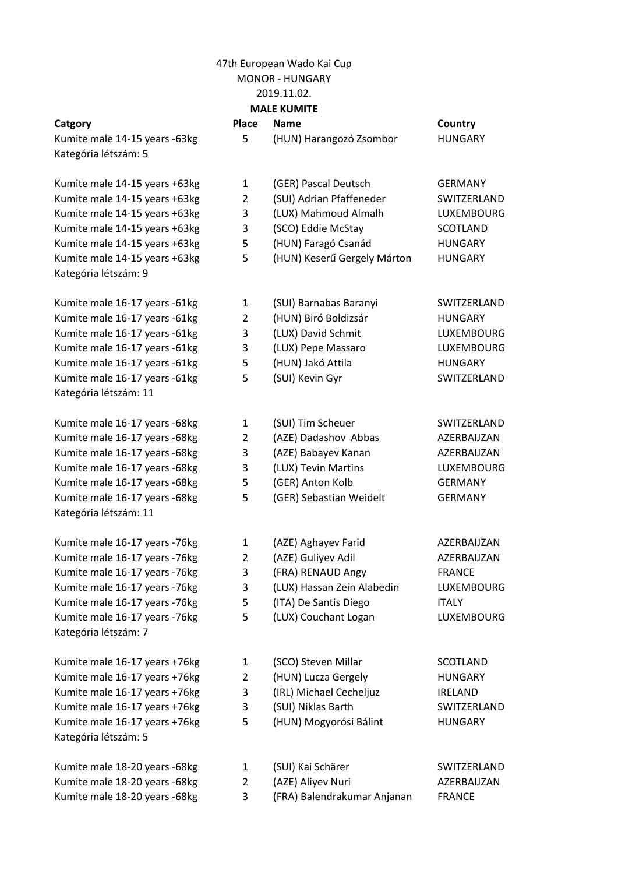## 47th European Wado Kai Cup

MONOR - HUNGARY

2019.11.02.

### **MALE KUMITE**

Kumite male 16-17 years +76kg 1 Kumite male 16-17 years +76kg 2 Kumite male 16-17 years +76kg 3 Kumite male 16-17 years +76kg 3 Kumite male 16-17 years +76kg 5 (HUN) Mogyorósi Bálint HUNGARY Kategória létszám: 5

Kumite male 18-20 years -68kg 1 (SUI) Kai Schärer 1 SWITZERLAND Kumite male 18-20 years -68kg 3 (FRA) Balendrakumar Anjanan FRANCE

| <b>MALE KUMITE</b>                                    |                |                             |                   |
|-------------------------------------------------------|----------------|-----------------------------|-------------------|
| Catgory                                               | Place          | <b>Name</b>                 | Country           |
| Kumite male 14-15 years -63kg<br>Kategória létszám: 5 | 5              | (HUN) Harangozó Zsombor     | <b>HUNGARY</b>    |
| Kumite male 14-15 years +63kg                         | $\mathbf{1}$   | (GER) Pascal Deutsch        | <b>GERMANY</b>    |
| Kumite male 14-15 years +63kg                         | $\overline{2}$ | (SUI) Adrian Pfaffeneder    | SWITZERLAND       |
| Kumite male 14-15 years +63kg                         | 3              | (LUX) Mahmoud Almalh        | <b>LUXEMBOURG</b> |
| Kumite male 14-15 years +63kg                         | 3              | (SCO) Eddie McStay          | <b>SCOTLAND</b>   |
| Kumite male 14-15 years +63kg                         | 5              | (HUN) Faragó Csanád         | <b>HUNGARY</b>    |
| Kumite male 14-15 years +63kg<br>Kategória létszám: 9 | 5              | (HUN) Keserű Gergely Márton | <b>HUNGARY</b>    |
| Kumite male 16-17 years -61kg                         | $\mathbf{1}$   | (SUI) Barnabas Baranyi      | SWITZERLAND       |
| Kumite male 16-17 years -61kg                         | $\overline{2}$ | (HUN) Biró Boldizsár        | <b>HUNGARY</b>    |
| Kumite male 16-17 years -61kg                         | 3              | (LUX) David Schmit          | <b>LUXEMBOURG</b> |
| Kumite male 16-17 years -61kg                         | 3              | (LUX) Pepe Massaro          | <b>LUXEMBOURG</b> |
| Kumite male 16-17 years -61kg                         | 5              | (HUN) Jakó Attila           | <b>HUNGARY</b>    |
| Kumite male 16-17 years -61kg                         | 5              | (SUI) Kevin Gyr             | SWITZERLAND       |
| Kategória létszám: 11                                 |                |                             |                   |
| Kumite male 16-17 years -68kg                         | $\mathbf{1}$   | (SUI) Tim Scheuer           | SWITZERLAND       |
| Kumite male 16-17 years -68kg                         | $\overline{2}$ | (AZE) Dadashov Abbas        | AZERBAIJZAN       |
| Kumite male 16-17 years -68kg                         | 3              | (AZE) Babayev Kanan         | AZERBAIJZAN       |
| Kumite male 16-17 years -68kg                         | 3              | (LUX) Tevin Martins         | <b>LUXEMBOURG</b> |
| Kumite male 16-17 years -68kg                         | 5              | (GER) Anton Kolb            | <b>GERMANY</b>    |
| Kumite male 16-17 years -68kg                         | 5              | (GER) Sebastian Weidelt     | <b>GERMANY</b>    |
| Kategória létszám: 11                                 |                |                             |                   |
| Kumite male 16-17 years -76kg                         | $\mathbf{1}$   | (AZE) Aghayev Farid         | AZERBAIJZAN       |
| Kumite male 16-17 years -76kg                         | $\overline{2}$ | (AZE) Guliyev Adil          | AZERBAIJZAN       |
| Kumite male 16-17 years -76kg                         | 3              | (FRA) RENAUD Angy           | <b>FRANCE</b>     |
| Kumite male 16-17 years -76kg                         | 3              | (LUX) Hassan Zein Alabedin  | LUXEMBOURG        |
| Kumite male 16-17 years -76kg                         | 5              | (ITA) De Santis Diego       | <b>ITALY</b>      |
| Kumite male 16-17 years -76kg                         | 5              | (LUX) Couchant Logan        | LUXEMBOURG        |
| Kategória létszám: 7                                  |                |                             |                   |
| Kumite male 16-17 years +76kg                         | $\mathbf{1}$   | (SCO) Steven Millar         | <b>SCOTLAND</b>   |
| Kumite male 16-17 years +76kg                         | 2              | (HUN) Lucza Gergely         | <b>HUNGARY</b>    |
| Kumite male 16-17 years +76kg                         | 3              | (IRL) Michael Cecheljuz     | <b>IRELAND</b>    |
| Kumite male 16-17 years +76kg                         | 3              | (SUI) Niklas Barth          | SWITZERLAND       |

Kumite male 18-20 years -68kg 2 (AZE) Aliyev Nuri AZERBAIJZAN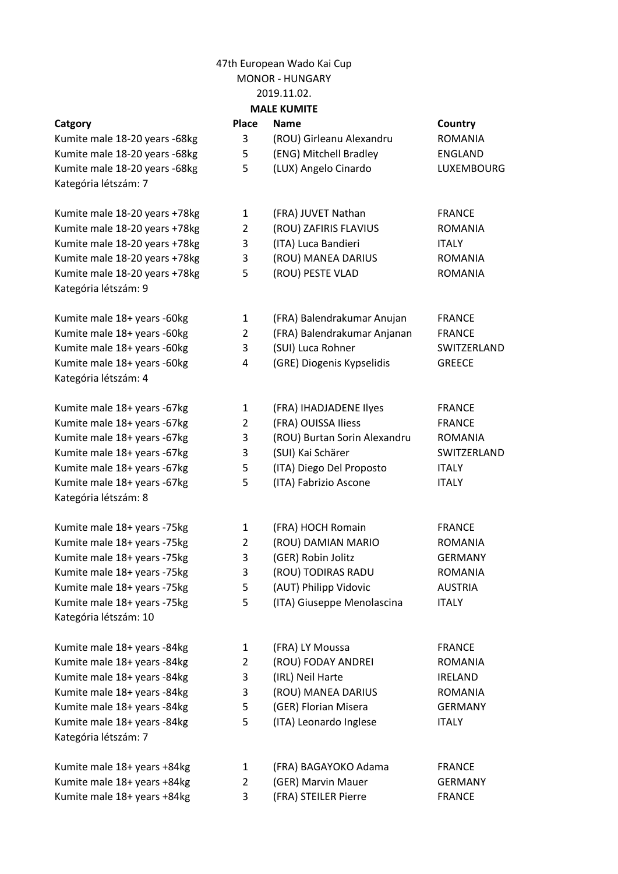### 2019.11.02.

Kumite male 18+ years +84kg Kumite male 18+ years +84kg Kumite male 18+ years +84kg 3 (FRA) STEILER Pierre FRANCE

|                               |                | ZUIJ.II.UZ.                  |                |
|-------------------------------|----------------|------------------------------|----------------|
|                               |                | <b>MALE KUMITE</b>           |                |
| Catgory                       | Place          | <b>Name</b>                  | Country        |
| Kumite male 18-20 years -68kg | 3              | (ROU) Girleanu Alexandru     | <b>ROMANIA</b> |
| Kumite male 18-20 years -68kg | 5              | (ENG) Mitchell Bradley       | <b>ENGLAND</b> |
| Kumite male 18-20 years -68kg | 5              | (LUX) Angelo Cinardo         | LUXEMBOURG     |
| Kategória létszám: 7          |                |                              |                |
| Kumite male 18-20 years +78kg | 1              | (FRA) JUVET Nathan           | <b>FRANCE</b>  |
| Kumite male 18-20 years +78kg | $\overline{2}$ | (ROU) ZAFIRIS FLAVIUS        | ROMANIA        |
| Kumite male 18-20 years +78kg | 3              | (ITA) Luca Bandieri          | <b>ITALY</b>   |
| Kumite male 18-20 years +78kg | 3              | (ROU) MANEA DARIUS           | <b>ROMANIA</b> |
| Kumite male 18-20 years +78kg | 5              | (ROU) PESTE VLAD             | <b>ROMANIA</b> |
| Kategória létszám: 9          |                |                              |                |
|                               |                |                              |                |
| Kumite male 18+ years -60kg   | 1              | (FRA) Balendrakumar Anujan   | <b>FRANCE</b>  |
| Kumite male 18+ years -60kg   | 2              | (FRA) Balendrakumar Anjanan  | <b>FRANCE</b>  |
| Kumite male 18+ years -60kg   | 3              | (SUI) Luca Rohner            | SWITZERLAND    |
| Kumite male 18+ years -60kg   | 4              | (GRE) Diogenis Kypselidis    | <b>GREECE</b>  |
| Kategória létszám: 4          |                |                              |                |
| Kumite male 18+ years -67kg   | 1              | (FRA) IHADJADENE Ilyes       | <b>FRANCE</b>  |
| Kumite male 18+ years -67kg   | $\overline{2}$ | (FRA) OUISSA Iliess          | <b>FRANCE</b>  |
| Kumite male 18+ years -67kg   | 3              | (ROU) Burtan Sorin Alexandru | <b>ROMANIA</b> |
| Kumite male 18+ years -67kg   | 3              | (SUI) Kai Schärer            | SWITZERLAND    |
| Kumite male 18+ years -67kg   | 5              | (ITA) Diego Del Proposto     | <b>ITALY</b>   |
| Kumite male 18+ years -67kg   | 5              | (ITA) Fabrizio Ascone        | <b>ITALY</b>   |
| Kategória létszám: 8          |                |                              |                |
| Kumite male 18+ years -75kg   | 1              | (FRA) HOCH Romain            | <b>FRANCE</b>  |
| Kumite male 18+ years -75kg   | $\overline{2}$ | (ROU) DAMIAN MARIO           | <b>ROMANIA</b> |
| Kumite male 18+ years -75kg   | 3              | (GER) Robin Jolitz           | <b>GERMANY</b> |
| Kumite male 18+ years -75kg   | 3              | (ROU) TODIRAS RADU           | <b>ROMANIA</b> |
| Kumite male 18+ years -75kg   | 5              | (AUT) Philipp Vidovic        | <b>AUSTRIA</b> |
| Kumite male 18+ years -75kg   | 5              | (ITA) Giuseppe Menolascina   | <b>ITALY</b>   |
| Kategória létszám: 10         |                |                              |                |
| Kumite male 18+ years -84kg   | 1              | (FRA) LY Moussa              | <b>FRANCE</b>  |
| Kumite male 18+ years -84kg   | 2              | (ROU) FODAY ANDREI           | <b>ROMANIA</b> |
| Kumite male 18+ years -84kg   | 3              | (IRL) Neil Harte             | <b>IRELAND</b> |
| Kumite male 18+ years -84kg   | 3              | (ROU) MANEA DARIUS           | ROMANIA        |
| Kumite male 18+ years -84kg   | 5              | (GER) Florian Misera         | <b>GERMANY</b> |
| Kumite male 18+ years -84kg   | 5              | (ITA) Leonardo Inglese       | <b>ITALY</b>   |
| Kategória létszám: 7          |                |                              |                |
| Kumite male 18+ years +84kg   | 1              | (FRA) BAGAYOKO Adama         | <b>FRANCE</b>  |
| Kumite male 18+ vears +84kg   | 2              | (GER) Marvin Mauer           | <b>GERMANY</b> |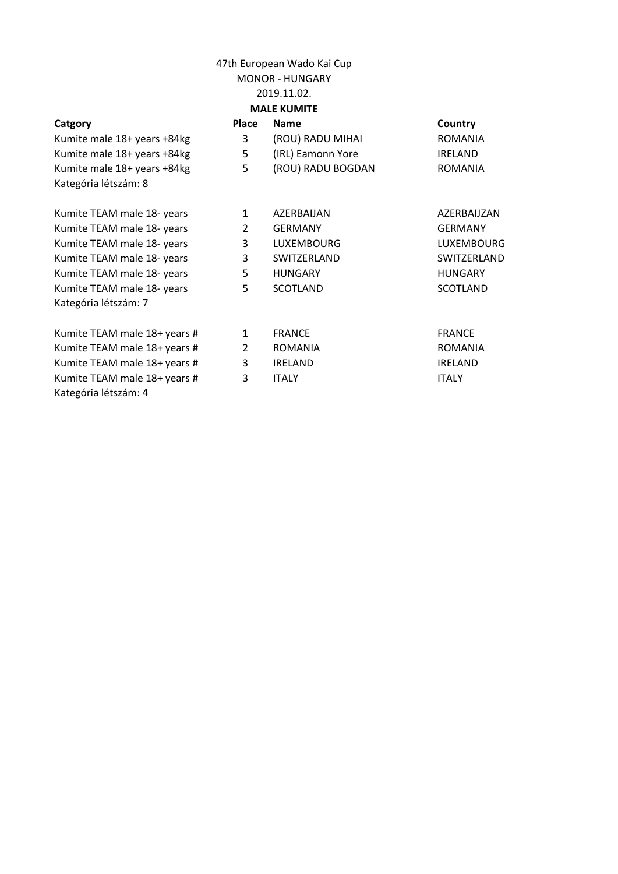## 2019.11.02.

| ٠ |
|---|
|---|

Kumite TEAM male 18+ years # Kumite TEAM male  $18+$  years # Kumite TEAM male 18+ years # Kumite TEAM male 18+ years # 3 ITALY ITALY Kategória létszám: 4

| <b>MALE KUMITE</b>           |                |                   |                   |  |  |  |  |
|------------------------------|----------------|-------------------|-------------------|--|--|--|--|
| Catgory                      | <b>Place</b>   | <b>Name</b>       | Country           |  |  |  |  |
| Kumite male 18+ years +84kg  | 3              | (ROU) RADU MIHAI  | <b>ROMANIA</b>    |  |  |  |  |
| Kumite male 18+ years +84kg  | 5              | (IRL) Eamonn Yore | <b>IRELAND</b>    |  |  |  |  |
| Kumite male 18+ years +84kg  | 5              | (ROU) RADU BOGDAN | <b>ROMANIA</b>    |  |  |  |  |
| Kategória létszám: 8         |                |                   |                   |  |  |  |  |
| Kumite TEAM male 18- years   | 1              | AZERBAIJAN        | AZERBAIJZAN       |  |  |  |  |
| Kumite TEAM male 18- years   | $\overline{2}$ | <b>GERMANY</b>    | <b>GERMANY</b>    |  |  |  |  |
| Kumite TEAM male 18- years   | 3              | <b>LUXEMBOURG</b> | <b>LUXEMBOURG</b> |  |  |  |  |
| Kumite TEAM male 18- years   | 3              | SWITZERLAND       | SWITZERLAND       |  |  |  |  |
| Kumite TEAM male 18- years   | 5              | <b>HUNGARY</b>    | <b>HUNGARY</b>    |  |  |  |  |
| Kumite TEAM male 18- years   | 5              | <b>SCOTLAND</b>   | <b>SCOTLAND</b>   |  |  |  |  |
| Kategória létszám: 7         |                |                   |                   |  |  |  |  |
| Kumite TEAM male 18+ years # | 1              | <b>FRANCE</b>     | <b>FRANCE</b>     |  |  |  |  |
| Kumite TEAM male 18+ years # | $\overline{2}$ | <b>ROMANIA</b>    | <b>ROMANIA</b>    |  |  |  |  |
| Kumite TEAM male 18+ years # | 3              | <b>IRELAND</b>    | <b>IRELAND</b>    |  |  |  |  |
|                              |                |                   |                   |  |  |  |  |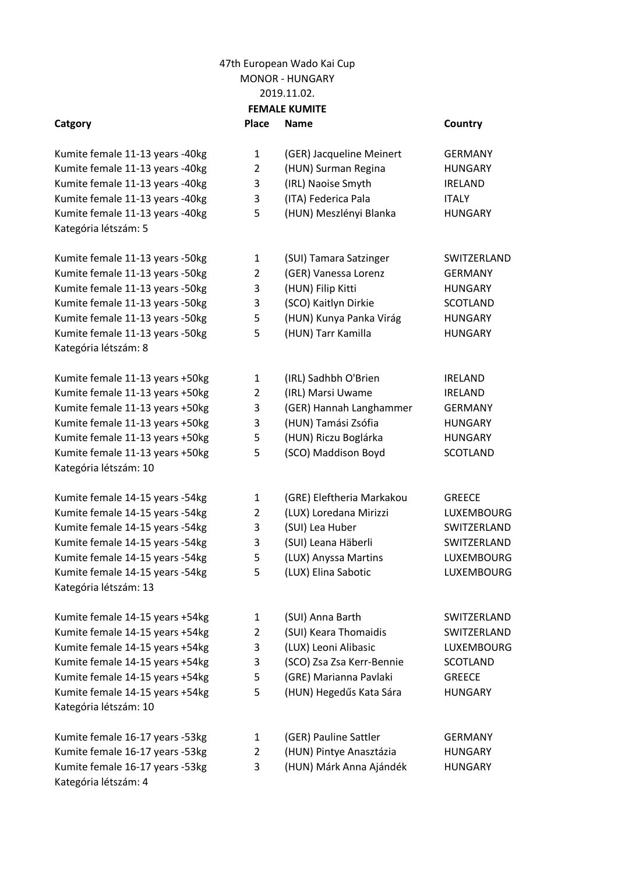## 47th European Wado Kai Cup 2019.11.02. **FEMALE KUMITE** MONOR - HUNGARY

- Kumite female 11-13 years -40kg Kumite female 11-13 years -40kg Kumite female 11-13 years -40kg Kumite female 11-13 years -40kg Kumite female 11-13 years -40kg Kategória létszám: 5
- Kumite female 11-13 years -50kg Kumite female 11-13 years -50kg Kumite female 11-13 years -50kg Kumite female 11-13 years -50kg Kumite female 11-13 years -50kg Kumite female 11-13 years -50kg Kategória létszám: 8

Kumite female 16-17 years -53kg Kumite female 16-17 years -53kg Kumite female 16-17 years -53kg Kategória létszám: 4

| Catgory                         | <b>Place</b>   | <b>Name</b>               | Country         |
|---------------------------------|----------------|---------------------------|-----------------|
| Kumite female 11-13 years -40kg | $\mathbf{1}$   | (GER) Jacqueline Meinert  | <b>GERMANY</b>  |
| Kumite female 11-13 years -40kg | $\overline{2}$ | (HUN) Surman Regina       | <b>HUNGARY</b>  |
| Kumite female 11-13 years -40kg | 3              | (IRL) Naoise Smyth        | <b>IRELAND</b>  |
| Kumite female 11-13 years -40kg | 3              | (ITA) Federica Pala       | <b>ITALY</b>    |
| Kumite female 11-13 years -40kg | 5              | (HUN) Meszlényi Blanka    | <b>HUNGARY</b>  |
| Kategória létszám: 5            |                |                           |                 |
| Kumite female 11-13 years -50kg | $\mathbf{1}$   | (SUI) Tamara Satzinger    | SWITZERLAND     |
| Kumite female 11-13 years -50kg | $\overline{2}$ | (GER) Vanessa Lorenz      | <b>GERMANY</b>  |
| Kumite female 11-13 years -50kg | 3              | (HUN) Filip Kitti         | <b>HUNGARY</b>  |
| Kumite female 11-13 years -50kg | 3              | (SCO) Kaitlyn Dirkie      | <b>SCOTLAND</b> |
| Kumite female 11-13 years -50kg | 5              | (HUN) Kunya Panka Virág   | <b>HUNGARY</b>  |
| Kumite female 11-13 years -50kg | 5              | (HUN) Tarr Kamilla        | <b>HUNGARY</b>  |
| Kategória létszám: 8            |                |                           |                 |
| Kumite female 11-13 years +50kg | $\mathbf{1}$   | (IRL) Sadhbh O'Brien      | <b>IRELAND</b>  |
| Kumite female 11-13 years +50kg | $\overline{2}$ | (IRL) Marsi Uwame         | <b>IRELAND</b>  |
| Kumite female 11-13 years +50kg | 3              | (GER) Hannah Langhammer   | <b>GERMANY</b>  |
| Kumite female 11-13 years +50kg | 3              | (HUN) Tamási Zsófia       | <b>HUNGARY</b>  |
| Kumite female 11-13 years +50kg | 5              | (HUN) Riczu Boglárka      | <b>HUNGARY</b>  |
| Kumite female 11-13 years +50kg | 5              | (SCO) Maddison Boyd       | <b>SCOTLAND</b> |
| Kategória létszám: 10           |                |                           |                 |
| Kumite female 14-15 years -54kg | $\mathbf{1}$   | (GRE) Eleftheria Markakou | <b>GREECE</b>   |
| Kumite female 14-15 years -54kg | $\overline{2}$ | (LUX) Loredana Mirizzi    | LUXEMBOURG      |
| Kumite female 14-15 years -54kg | 3              | (SUI) Lea Huber           | SWITZERLAND     |
| Kumite female 14-15 years -54kg | 3              | (SUI) Leana Häberli       | SWITZERLAND     |
| Kumite female 14-15 years -54kg | 5              | (LUX) Anyssa Martins      | LUXEMBOURG      |
| Kumite female 14-15 years -54kg | 5              | (LUX) Elina Sabotic       | LUXEMBOURG      |
| Kategória létszám: 13           |                |                           |                 |
| Kumite female 14-15 years +54kg | 1              | (SUI) Anna Barth          | SWITZERLAND     |
| Kumite female 14-15 years +54kg | $\overline{2}$ | (SUI) Keara Thomaidis     | SWITZERLAND     |
| Kumite female 14-15 years +54kg | 3              | (LUX) Leoni Alibasic      | LUXEMBOURG      |
| Kumite female 14-15 years +54kg | 3              | (SCO) Zsa Zsa Kerr-Bennie | <b>SCOTLAND</b> |
| Kumite female 14-15 years +54kg | 5              | (GRE) Marianna Pavlaki    | <b>GREECE</b>   |
| Kumite female 14-15 years +54kg | 5              | (HUN) Hegedűs Kata Sára   | <b>HUNGARY</b>  |
| Kategória létszám: 10           |                |                           |                 |
| Kumite female 16-17 years -53kg | 1              | (GER) Pauline Sattler     | <b>GERMANY</b>  |
| Kumite female 16-17 years -53kg | $\overline{2}$ | (HUN) Pintye Anasztázia   | <b>HUNGARY</b>  |
| Kumite female 16-17 years -53kg | 3              | (HUN) Márk Anna Ajándék   | <b>HUNGARY</b>  |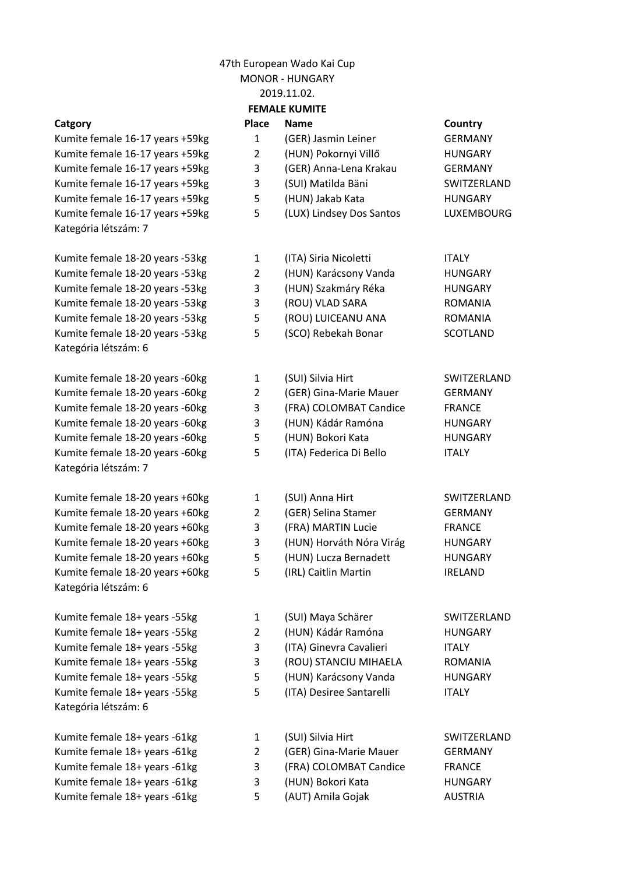| <b>FEMALE KUMITE</b>            |                |                          |                 |  |  |  |  |
|---------------------------------|----------------|--------------------------|-----------------|--|--|--|--|
| Catgory                         | <b>Place</b>   | <b>Name</b>              | Country         |  |  |  |  |
| Kumite female 16-17 years +59kg | $\mathbf{1}$   | (GER) Jasmin Leiner      | <b>GERMANY</b>  |  |  |  |  |
| Kumite female 16-17 years +59kg | $\overline{2}$ | (HUN) Pokornyi Villő     | <b>HUNGARY</b>  |  |  |  |  |
| Kumite female 16-17 years +59kg | 3              | (GER) Anna-Lena Krakau   | <b>GERMANY</b>  |  |  |  |  |
| Kumite female 16-17 years +59kg | 3              | (SUI) Matilda Bäni       | SWITZERLAND     |  |  |  |  |
| Kumite female 16-17 years +59kg | 5              | (HUN) Jakab Kata         | <b>HUNGARY</b>  |  |  |  |  |
| Kumite female 16-17 years +59kg | 5              | (LUX) Lindsey Dos Santos | LUXEMBOURG      |  |  |  |  |
| Kategória létszám: 7            |                |                          |                 |  |  |  |  |
| Kumite female 18-20 years -53kg | $\mathbf{1}$   | (ITA) Siria Nicoletti    | <b>ITALY</b>    |  |  |  |  |
| Kumite female 18-20 years -53kg | 2              | (HUN) Karácsony Vanda    | <b>HUNGARY</b>  |  |  |  |  |
| Kumite female 18-20 years -53kg | 3              | (HUN) Szakmáry Réka      | <b>HUNGARY</b>  |  |  |  |  |
| Kumite female 18-20 years -53kg | 3              | (ROU) VLAD SARA          | <b>ROMANIA</b>  |  |  |  |  |
| Kumite female 18-20 years -53kg | 5              | (ROU) LUICEANU ANA       | <b>ROMANIA</b>  |  |  |  |  |
| Kumite female 18-20 years -53kg | 5              | (SCO) Rebekah Bonar      | <b>SCOTLAND</b> |  |  |  |  |
| Kategória létszám: 6            |                |                          |                 |  |  |  |  |
| Kumite female 18-20 years -60kg | $\mathbf{1}$   | (SUI) Silvia Hirt        | SWITZERLAND     |  |  |  |  |
| Kumite female 18-20 years -60kg | 2              | (GER) Gina-Marie Mauer   | <b>GERMANY</b>  |  |  |  |  |
| Kumite female 18-20 years -60kg | 3              | (FRA) COLOMBAT Candice   | <b>FRANCE</b>   |  |  |  |  |
| Kumite female 18-20 years -60kg | 3              | (HUN) Kádár Ramóna       | <b>HUNGARY</b>  |  |  |  |  |
| Kumite female 18-20 years -60kg | 5              | (HUN) Bokori Kata        | <b>HUNGARY</b>  |  |  |  |  |
| Kumite female 18-20 years -60kg | 5              | (ITA) Federica Di Bello  | <b>ITALY</b>    |  |  |  |  |
| Kategória létszám: 7            |                |                          |                 |  |  |  |  |
| Kumite female 18-20 years +60kg | 1              | (SUI) Anna Hirt          | SWITZERLAND     |  |  |  |  |
| Kumite female 18-20 years +60kg | 2              | (GER) Selina Stamer      | <b>GERMANY</b>  |  |  |  |  |
| Kumite female 18-20 years +60kg | 3              | (FRA) MARTIN Lucie       | <b>FRANCE</b>   |  |  |  |  |
| Kumite female 18-20 years +60kg | 3              | (HUN) Horváth Nóra Virág | <b>HUNGARY</b>  |  |  |  |  |
| Kumite female 18-20 years +60kg | 5              | (HUN) Lucza Bernadett    | <b>HUNGARY</b>  |  |  |  |  |
| Kumite female 18-20 years +60kg | 5              | (IRL) Caitlin Martin     | <b>IRELAND</b>  |  |  |  |  |
| Kategória létszám: 6            |                |                          |                 |  |  |  |  |
| Kumite female 18+ years -55kg   | 1              | (SUI) Maya Schärer       | SWITZERLAND     |  |  |  |  |
| Kumite female 18+ years -55kg   | $\overline{2}$ | (HUN) Kádár Ramóna       | <b>HUNGARY</b>  |  |  |  |  |
| Kumite female 18+ years -55kg   | 3              | (ITA) Ginevra Cavalieri  | <b>ITALY</b>    |  |  |  |  |
| Kumite female 18+ years -55kg   | 3              | (ROU) STANCIU MIHAELA    | <b>ROMANIA</b>  |  |  |  |  |
| Kumite female 18+ years -55kg   | 5              | (HUN) Karácsony Vanda    | <b>HUNGARY</b>  |  |  |  |  |
| Kumite female 18+ years -55kg   | 5              | (ITA) Desiree Santarelli | <b>ITALY</b>    |  |  |  |  |
| Kategória létszám: 6            |                |                          |                 |  |  |  |  |
| Kumite female 18+ years -61kg   | 1              | (SUI) Silvia Hirt        | SWITZERLAND     |  |  |  |  |
| Kumite female 18+ years -61kg   | 2              | (GER) Gina-Marie Mauer   | <b>GERMANY</b>  |  |  |  |  |
| Kumite female 18+ years -61kg   | 3              | (FRA) COLOMBAT Candice   | <b>FRANCE</b>   |  |  |  |  |
| Kumite female 18+ years -61kg   | 3              | (HUN) Bokori Kata        | <b>HUNGARY</b>  |  |  |  |  |

Kumite female 18+ years -61kg Kumite female 18+ years -61kg Kumite female 18+ years -61kg Kumite female 18+ years -61kg Kumite female 18+ years -61kg 5 (AUT) Amila Gojak AUSTRIA